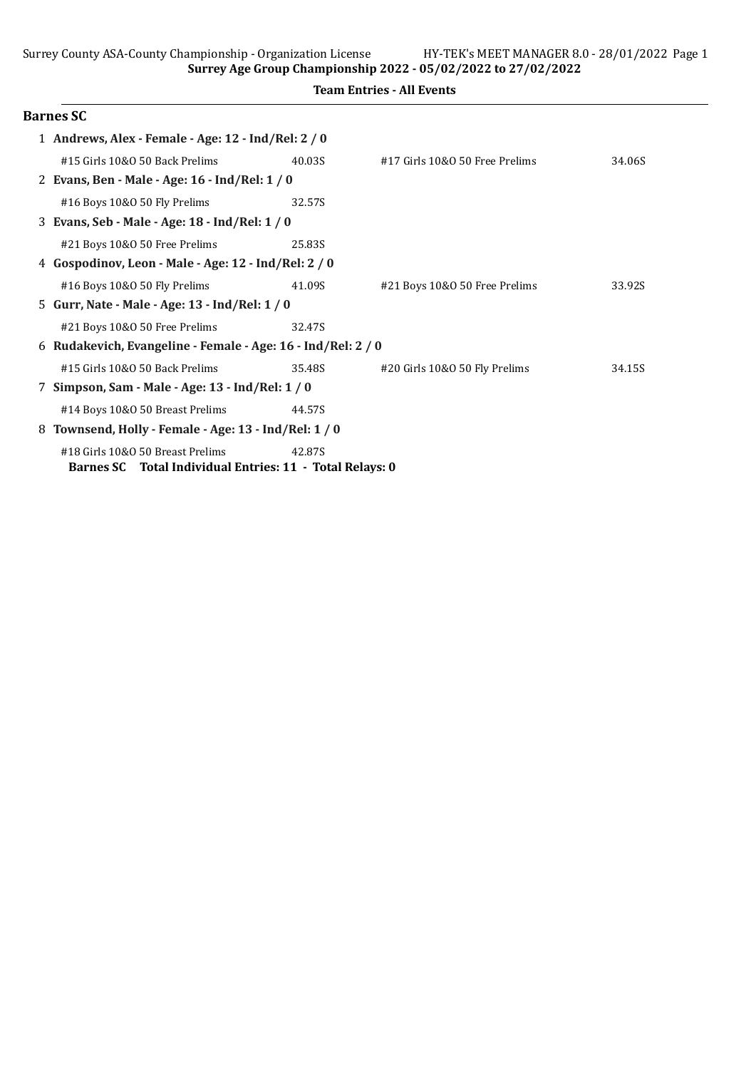Surrey Age Group Championship 2022 - 05/02/2022 to 27/02/2022

|  | <b>Team Entries - All Events</b> |  |  |
|--|----------------------------------|--|--|
|--|----------------------------------|--|--|

|   | <b>Barnes SC</b>                                           |        |                                |        |  |  |
|---|------------------------------------------------------------|--------|--------------------------------|--------|--|--|
|   | 1 Andrews, Alex - Female - Age: 12 - Ind/Rel: 2 / 0        |        |                                |        |  |  |
|   | #15 Girls 10&0 50 Back Prelims                             | 40.03S | #17 Girls 10&0 50 Free Prelims | 34.06S |  |  |
|   | 2 Evans, Ben - Male - Age: 16 - Ind/Rel: 1 / 0             |        |                                |        |  |  |
|   | #16 Boys 10&0 50 Fly Prelims                               | 32.57S |                                |        |  |  |
|   | 3 Evans, Seb - Male - Age: 18 - Ind/Rel: 1 / 0             |        |                                |        |  |  |
|   | #21 Boys 10&0 50 Free Prelims                              | 25.83S |                                |        |  |  |
| 4 | Gospodinov, Leon - Male - Age: 12 - Ind/Rel: 2 / 0         |        |                                |        |  |  |
|   | #16 Boys 10&0 50 Fly Prelims                               | 41.09S | #21 Boys 10&0 50 Free Prelims  | 33.92S |  |  |
|   | 5 Gurr, Nate - Male - Age: 13 - Ind/Rel: 1 / 0             |        |                                |        |  |  |
|   | #21 Boys 10&0 50 Free Prelims                              | 32.47S |                                |        |  |  |
| 6 | Rudakevich, Evangeline - Female - Age: 16 - Ind/Rel: 2 / 0 |        |                                |        |  |  |
|   | #15 Girls 10&0 50 Back Prelims                             | 35.48S | #20 Girls 10&0 50 Fly Prelims  | 34.15S |  |  |
|   | 7 Simpson, Sam - Male - Age: 13 - Ind/Rel: 1 / 0           |        |                                |        |  |  |
|   | #14 Boys 10&0 50 Breast Prelims                            | 44.57S |                                |        |  |  |
| 8 | Townsend, Holly - Female - Age: 13 - Ind/Rel: 1 / 0        |        |                                |        |  |  |
|   | #18 Girls 10&0 50 Breast Prelims                           | 42.87S |                                |        |  |  |
|   | Barnes SC Total Individual Entries: 11 - Total Relays: 0   |        |                                |        |  |  |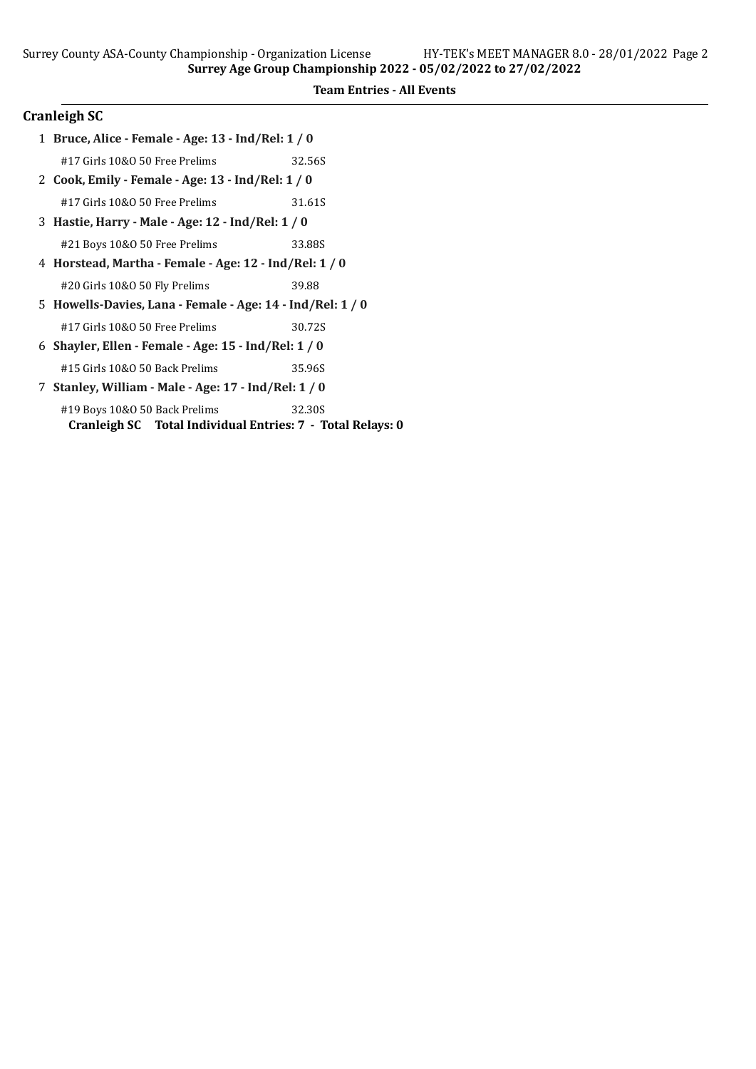# Cranleigh SC

| 1 Bruce, Alice - Female - Age: 13 - Ind/Rel: 1 / 0                                          |        |  |  |
|---------------------------------------------------------------------------------------------|--------|--|--|
| #17 Girls 10&0 50 Free Prelims                                                              | 32.56S |  |  |
| 2 Cook, Emily - Female - Age: 13 - Ind/Rel: 1 / 0                                           |        |  |  |
| #17 Girls 10&0 50 Free Prelims                                                              | 31.61S |  |  |
| 3 Hastie, Harry - Male - Age: 12 - Ind/Rel: 1 / 0                                           |        |  |  |
| #21 Boys 10&0 50 Free Prelims                                                               | 33.88S |  |  |
| 4 Horstead, Martha - Female - Age: 12 - Ind/Rel: 1 / 0                                      |        |  |  |
| #20 Girls 10&0 50 Fly Prelims                                                               | 39.88  |  |  |
| 5 Howells-Davies, Lana - Female - Age: 14 - Ind/Rel: 1 / 0                                  |        |  |  |
| #17 Girls 10&0 50 Free Prelims                                                              | 30.72S |  |  |
| 6 Shayler, Ellen - Female - Age: 15 - Ind/Rel: 1 / 0                                        |        |  |  |
| #15 Girls 10&0 50 Back Prelims                                                              | 35.96S |  |  |
| 7 Stanley, William - Male - Age: 17 - Ind/Rel: 1 / 0                                        |        |  |  |
| #19 Boys 10&0 50 Back Prelims<br>Cranleigh SC Total Individual Entries: 7 - Total Relays: 0 | 32.30S |  |  |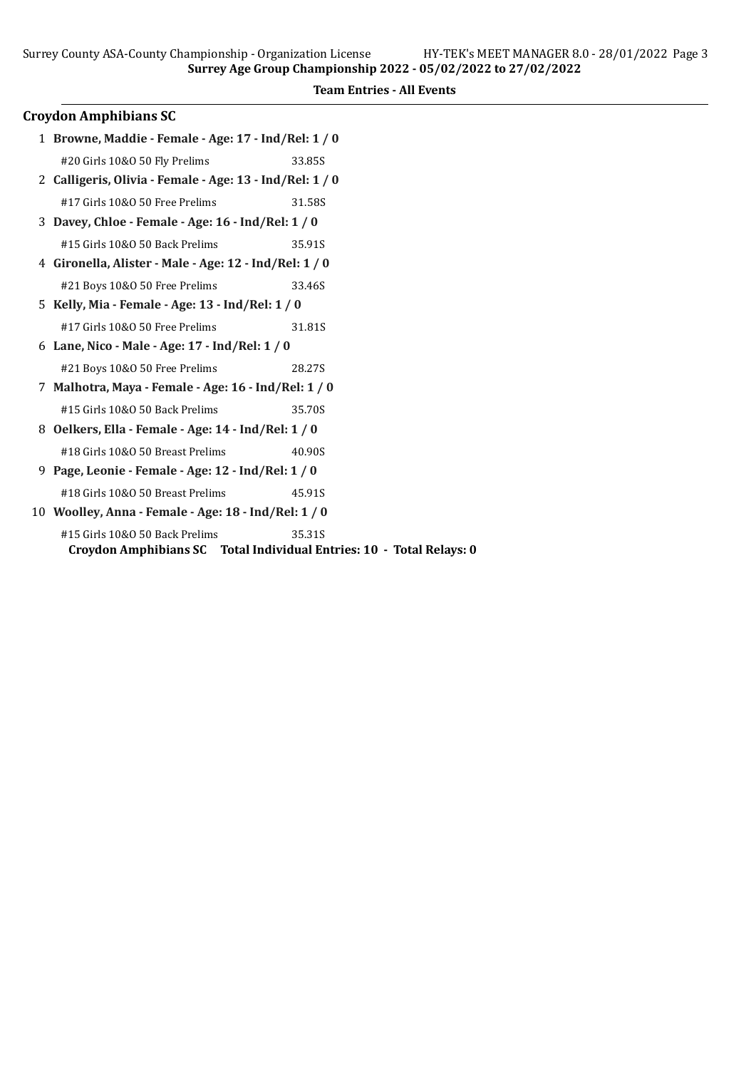### Croydon Amphibians SC

| 1 Browne, Maddie - Female - Age: 17 - Ind/Rel: 1 / 0     |        |  |  |  |
|----------------------------------------------------------|--------|--|--|--|
| #20 Girls 10&0 50 Fly Prelims                            | 33.85S |  |  |  |
| 2 Calligeris, Olivia - Female - Age: 13 - Ind/Rel: 1 / 0 |        |  |  |  |
| #17 Girls 10&O 50 Free Prelims                           | 31.58S |  |  |  |
| 3 Davey, Chloe - Female - Age: 16 - Ind/Rel: 1 / 0       |        |  |  |  |
| #15 Girls 10&0 50 Back Prelims                           | 35.91S |  |  |  |
| 4 Gironella, Alister - Male - Age: 12 - Ind/Rel: 1 / 0   |        |  |  |  |
| #21 Boys 10&0 50 Free Prelims                            | 33.46S |  |  |  |
| 5 Kelly, Mia - Female - Age: 13 - Ind/Rel: 1 / 0         |        |  |  |  |
| #17 Girls 10&0 50 Free Prelims                           | 31.81S |  |  |  |
| 6 Lane, Nico - Male - Age: 17 - Ind/Rel: $1/0$           |        |  |  |  |
| #21 Boys 10&0 50 Free Prelims                            | 28.27S |  |  |  |
| 7 Malhotra, Maya - Female - Age: 16 - Ind/Rel: 1 / 0     |        |  |  |  |
| #15 Girls 10&0 50 Back Prelims                           | 35.70S |  |  |  |
| 8 Oelkers, Ella - Female - Age: 14 - Ind/Rel: 1 / 0      |        |  |  |  |

- #18 Girls 10&O 50 Breast Prelims 40.90S 9 Page, Leonie - Female - Age: 12 - Ind/Rel: 1 / 0
- #18 Girls 10&O 50 Breast Prelims 45.91S
- 10 Woolley, Anna Female Age: 18 Ind/Rel: 1 / 0

#15 Girls 10&O 50 Back Prelims 35.31S Croydon Amphibians SC Total Individual Entries: 10 - Total Relays: 0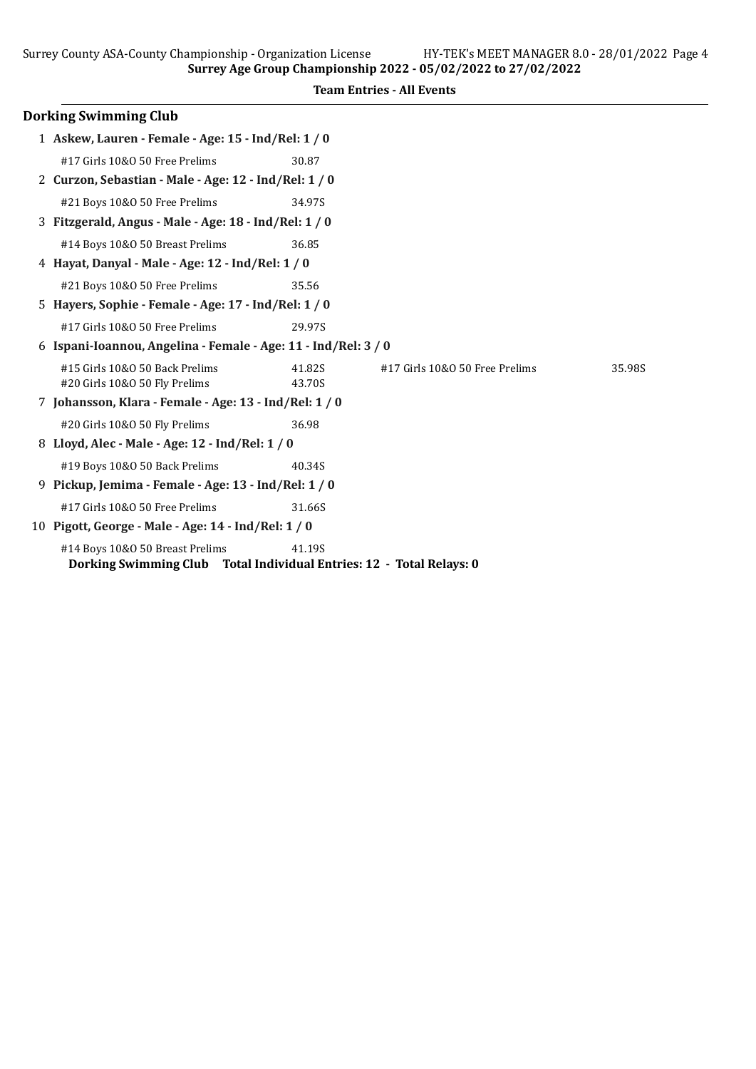| Surrey Age Group Championship 2022 - 05/02/2022 to 27/02/2022                                           |                  |                                  |        |  |
|---------------------------------------------------------------------------------------------------------|------------------|----------------------------------|--------|--|
|                                                                                                         |                  | <b>Team Entries - All Events</b> |        |  |
| <b>Dorking Swimming Club</b>                                                                            |                  |                                  |        |  |
| 1 Askew, Lauren - Female - Age: 15 - Ind/Rel: 1 / 0                                                     |                  |                                  |        |  |
| #17 Girls 10&0 50 Free Prelims                                                                          | 30.87            |                                  |        |  |
| 2 Curzon, Sebastian - Male - Age: 12 - Ind/Rel: 1 / 0                                                   |                  |                                  |        |  |
| #21 Boys 10&0 50 Free Prelims                                                                           | 34.97S           |                                  |        |  |
| 3 Fitzgerald, Angus - Male - Age: 18 - Ind/Rel: 1 / 0                                                   |                  |                                  |        |  |
| #14 Boys 10&0 50 Breast Prelims                                                                         | 36.85            |                                  |        |  |
| 4 Hayat, Danyal - Male - Age: 12 - Ind/Rel: 1 / 0                                                       |                  |                                  |        |  |
| #21 Boys 10&0 50 Free Prelims                                                                           | 35.56            |                                  |        |  |
| 5 Hayers, Sophie - Female - Age: 17 - Ind/Rel: 1 / 0                                                    |                  |                                  |        |  |
| #17 Girls 10&0 50 Free Prelims                                                                          | 29.97S           |                                  |        |  |
| 6 Ispani-Ioannou, Angelina - Female - Age: 11 - Ind/Rel: 3 / 0                                          |                  |                                  |        |  |
| #15 Girls 10&0 50 Back Prelims<br>#20 Girls 10&O 50 Fly Prelims                                         | 41.82S<br>43.70S | #17 Girls 10&0 50 Free Prelims   | 35.98S |  |
| 7 Johansson, Klara - Female - Age: 13 - Ind/Rel: 1 / 0                                                  |                  |                                  |        |  |
| #20 Girls 10&O 50 Fly Prelims                                                                           | 36.98            |                                  |        |  |
| 8 Lloyd, Alec - Male - Age: 12 - Ind/Rel: 1 / 0                                                         |                  |                                  |        |  |
| #19 Boys 10&0 50 Back Prelims                                                                           | 40.34S           |                                  |        |  |
| 9 Pickup, Jemima - Female - Age: 13 - Ind/Rel: 1 / 0                                                    |                  |                                  |        |  |
| #17 Girls 10&0 50 Free Prelims                                                                          | 31.66S           |                                  |        |  |
| 10 Pigott, George - Male - Age: 14 - Ind/Rel: 1 / 0                                                     |                  |                                  |        |  |
| #14 Boys 10&0 50 Breast Prelims<br>Dorking Swimming Club Total Individual Entries: 12 - Total Relays: 0 | 41.19S           |                                  |        |  |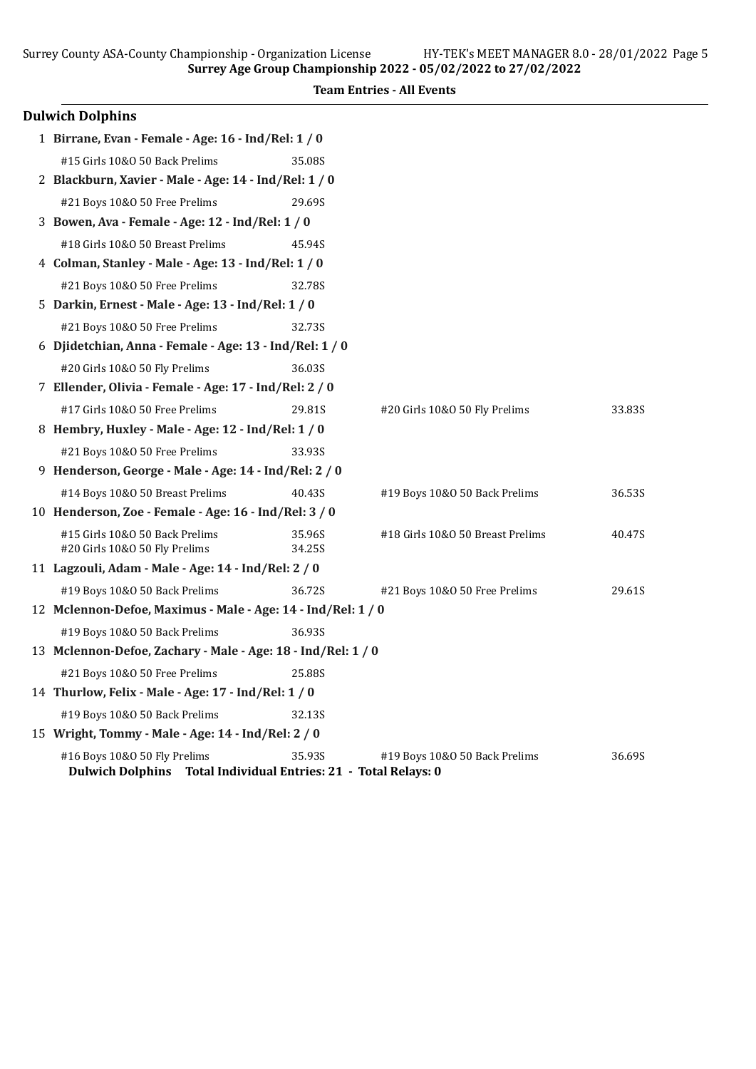| <b>Team Entries - All Events</b> |  |  |  |  |
|----------------------------------|--|--|--|--|
|----------------------------------|--|--|--|--|

| <b>Dulwich Dolphins</b>                                                                         |        |                                  |        |  |
|-------------------------------------------------------------------------------------------------|--------|----------------------------------|--------|--|
| 1 Birrane, Evan - Female - Age: 16 - Ind/Rel: 1 / 0                                             |        |                                  |        |  |
| #15 Girls 10&0 50 Back Prelims                                                                  | 35.08S |                                  |        |  |
| 2 Blackburn, Xavier - Male - Age: 14 - Ind/Rel: 1 / 0                                           |        |                                  |        |  |
| #21 Boys 10&0 50 Free Prelims                                                                   | 29.69S |                                  |        |  |
| 3 Bowen, Ava - Female - Age: 12 - Ind/Rel: 1 / 0                                                |        |                                  |        |  |
| #18 Girls 10&0 50 Breast Prelims                                                                | 45.94S |                                  |        |  |
| 4 Colman, Stanley - Male - Age: 13 - Ind/Rel: 1 / 0                                             |        |                                  |        |  |
| #21 Boys 10&0 50 Free Prelims                                                                   | 32.78S |                                  |        |  |
| 5 Darkin, Ernest - Male - Age: 13 - Ind/Rel: 1 / 0                                              |        |                                  |        |  |
| #21 Boys 10&0 50 Free Prelims                                                                   | 32.73S |                                  |        |  |
| 6 Djidetchian, Anna - Female - Age: 13 - Ind/Rel: 1 / 0                                         |        |                                  |        |  |
| #20 Girls 10&O 50 Fly Prelims                                                                   | 36.03S |                                  |        |  |
| 7 Ellender, Olivia - Female - Age: 17 - Ind/Rel: 2 / 0                                          |        |                                  |        |  |
| #17 Girls 10&0 50 Free Prelims                                                                  | 29.81S | #20 Girls 10&O 50 Fly Prelims    | 33.83S |  |
| 8 Hembry, Huxley - Male - Age: 12 - Ind/Rel: 1 / 0                                              |        |                                  |        |  |
| #21 Boys 10&0 50 Free Prelims                                                                   | 33.93S |                                  |        |  |
| 9 Henderson, George - Male - Age: 14 - Ind/Rel: 2 / 0                                           |        |                                  |        |  |
| #14 Boys 10&0 50 Breast Prelims                                                                 | 40.43S | #19 Boys 10&0 50 Back Prelims    | 36.53S |  |
| 10 Henderson, Zoe - Female - Age: 16 - Ind/Rel: 3 / 0                                           |        |                                  |        |  |
| #15 Girls 10&0 50 Back Prelims                                                                  | 35.96S | #18 Girls 10&0 50 Breast Prelims | 40.47S |  |
| #20 Girls 10&O 50 Fly Prelims                                                                   | 34.25S |                                  |        |  |
| 11 Lagzouli, Adam - Male - Age: 14 - Ind/Rel: 2 / 0                                             |        |                                  |        |  |
| #19 Boys 10&O 50 Back Prelims                                                                   | 36.72S | #21 Boys 10&0 50 Free Prelims    | 29.61S |  |
| 12 Mclennon-Defoe, Maximus - Male - Age: 14 - Ind/Rel: 1 / 0                                    |        |                                  |        |  |
| #19 Boys 10&0 50 Back Prelims                                                                   | 36.93S |                                  |        |  |
| 13 Mclennon-Defoe, Zachary - Male - Age: 18 - Ind/Rel: 1 / 0                                    |        |                                  |        |  |
| #21 Boys 10&0 50 Free Prelims                                                                   | 25.88S |                                  |        |  |
| 14 Thurlow, Felix - Male - Age: 17 - Ind/Rel: 1 / 0                                             |        |                                  |        |  |
| #19 Boys 10&0 50 Back Prelims                                                                   | 32.13S |                                  |        |  |
| 15 Wright, Tommy - Male - Age: 14 - Ind/Rel: 2 / 0                                              |        |                                  |        |  |
| #16 Boys 10&0 50 Fly Prelims<br>Dulwich Dolphins Total Individual Entries: 21 - Total Relays: 0 | 35.93S | #19 Boys 10&0 50 Back Prelims    | 36.69S |  |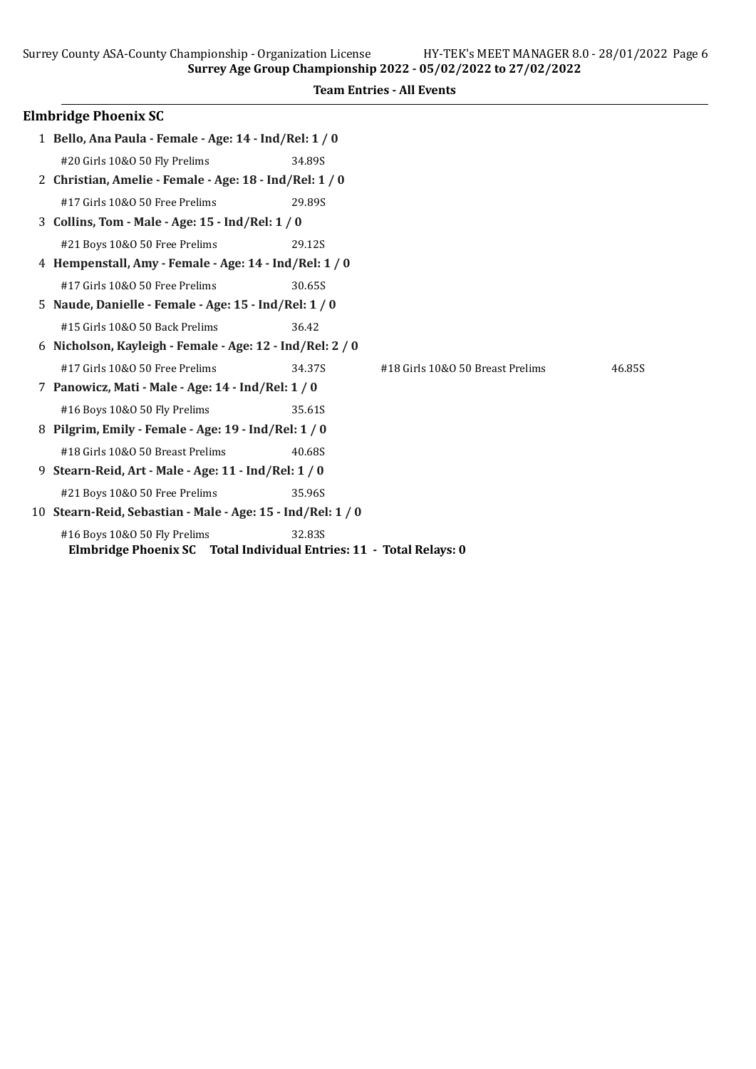|   |                                                         | 5011Cy Age of our championship 2022 - 03/02/2022 to 27/02/2022 |                                  |        |  |  |
|---|---------------------------------------------------------|----------------------------------------------------------------|----------------------------------|--------|--|--|
|   |                                                         |                                                                | <b>Team Entries - All Events</b> |        |  |  |
|   | <b>Elmbridge Phoenix SC</b>                             |                                                                |                                  |        |  |  |
|   | 1 Bello, Ana Paula - Female - Age: 14 - Ind/Rel: 1 / 0  |                                                                |                                  |        |  |  |
|   | #20 Girls 10&0 50 Fly Prelims                           | 34.89S                                                         |                                  |        |  |  |
|   | 2 Christian, Amelie - Female - Age: 18 - Ind/Rel: 1 / 0 |                                                                |                                  |        |  |  |
|   | #17 Girls 10&0 50 Free Prelims                          | 29.89S                                                         |                                  |        |  |  |
|   | 3 Collins, Tom - Male - Age: 15 - Ind/Rel: 1 / 0        |                                                                |                                  |        |  |  |
|   | #21 Boys 10&0 50 Free Prelims                           | 29.12S                                                         |                                  |        |  |  |
|   | 4 Hempenstall, Amy - Female - Age: 14 - Ind/Rel: 1 / 0  |                                                                |                                  |        |  |  |
|   | #17 Girls 10&0 50 Free Prelims                          | 30.65S                                                         |                                  |        |  |  |
|   | 5 Naude, Danielle - Female - Age: 15 - Ind/Rel: 1 / 0   |                                                                |                                  |        |  |  |
|   | #15 Girls 10&0 50 Back Prelims                          | 36.42                                                          |                                  |        |  |  |
| 6 | Nicholson, Kayleigh - Female - Age: 12 - Ind/Rel: 2 / 0 |                                                                |                                  |        |  |  |
|   | #17 Girls 10&0 50 Free Prelims                          | 34.37S                                                         | #18 Girls 10&0 50 Breast Prelims | 46.85S |  |  |
|   | 7 Panowicz, Mati - Male - Age: 14 - Ind/Rel: 1 / 0      |                                                                |                                  |        |  |  |
|   | #16 Boys 10&0 50 Fly Prelims                            | 35.61S                                                         |                                  |        |  |  |
|   | Pilgrim, Emily - Female - Age: 19 - Ind/Rel: 1 / 0      |                                                                |                                  |        |  |  |
|   | #18 Girls 10&0 50 Breast Prelims                        | 40.685                                                         |                                  |        |  |  |
| 9 | Stearn-Reid, Art - Male - Age: 11 - Ind/Rel: 1 / 0      |                                                                |                                  |        |  |  |

- #21 Boys 10&O 50 Free Prelims 35.96S 10 Stearn-Reid, Sebastian - Male - Age: 15 - Ind/Rel: 1 / 0
	- #16 Boys 10&O 50 Fly Prelims 32.83S Elmbridge Phoenix SC Total Individual Entries: 11 - Total Relays: 0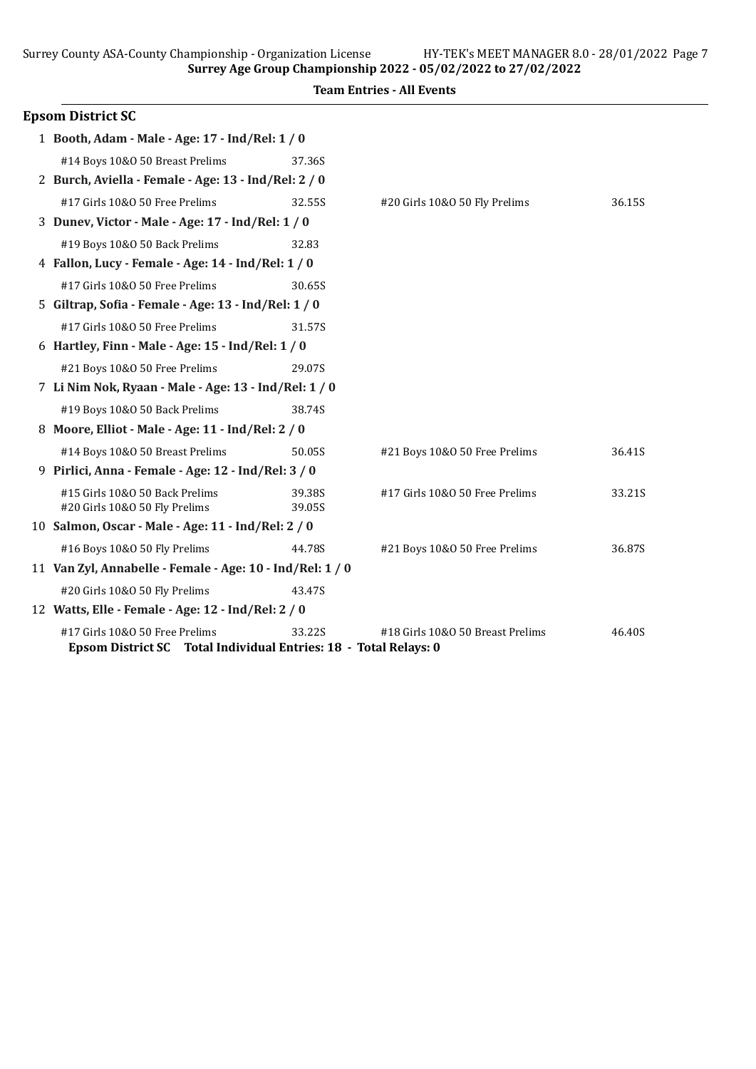12 Watts, Elle - Female - Age: 12 - Ind/Rel: 2 / 0

Epsom District SC Total Individual Entries: 18 - Total Relays: 0

Surrey County ASA-County Championship - Organization License HY-TEK's MEET MANAGER 8.0 - 28/01/2022 Page 7

Surrey Age Group Championship 2022 - 05/02/2022 to 27/02/2022 Team Entries - All Events Epsom District SC 1 Booth, Adam - Male - Age: 17 - Ind/Rel: 1 / 0 #14 Boys 10&O 50 Breast Prelims 37.36S 2 Burch, Aviella - Female - Age: 13 - Ind/Rel: 2 / 0 #17 Girls 10&O 50 Free Prelims 32.55S #20 Girls 10&O 50 Fly Prelims 36.15S 3 Dunev, Victor - Male - Age: 17 - Ind/Rel: 1 / 0 #19 Boys 10&O 50 Back Prelims 32.83 4 Fallon, Lucy - Female - Age: 14 - Ind/Rel: 1 / 0 #17 Girls 10&O 50 Free Prelims 30.65S 5 Giltrap, Soϐia - Female - Age: 13 - Ind/Rel: 1 / 0 #17 Girls 10&O 50 Free Prelims 31.57S 6 Hartley, Finn - Male - Age: 15 - Ind/Rel: 1 / 0 #21 Boys 10&O 50 Free Prelims 29.07S 7 Li Nim Nok, Ryaan - Male - Age: 13 - Ind/Rel: 1 / 0 #19 Boys 10&O 50 Back Prelims 38.74S 8 Moore, Elliot - Male - Age: 11 - Ind/Rel: 2 / 0 #14 Boys 10&O 50 Breast Prelims 50.05S #21 Boys 10&O 50 Free Prelims 36.41S 9 Pirlici, Anna - Female - Age: 12 - Ind/Rel: 3 / 0 #15 Girls 10&O 50 Back Prelims 39.38S #17 Girls 10&O 50 Free Prelims 33.21S #20 Girls 10&O 50 Fly Prelims 39.05S 10 Salmon, Oscar - Male - Age: 11 - Ind/Rel: 2 / 0 #16 Boys 10&O 50 Fly Prelims 44.78S #21 Boys 10&O 50 Free Prelims 36.87S 11 Van Zyl, Annabelle - Female - Age: 10 - Ind/Rel: 1 / 0 #20 Girls 10&O 50 Fly Prelims 43.47S

#17 Girls 10&O 50 Free Prelims 33.22S #18 Girls 10&O 50 Breast Prelims 46.40S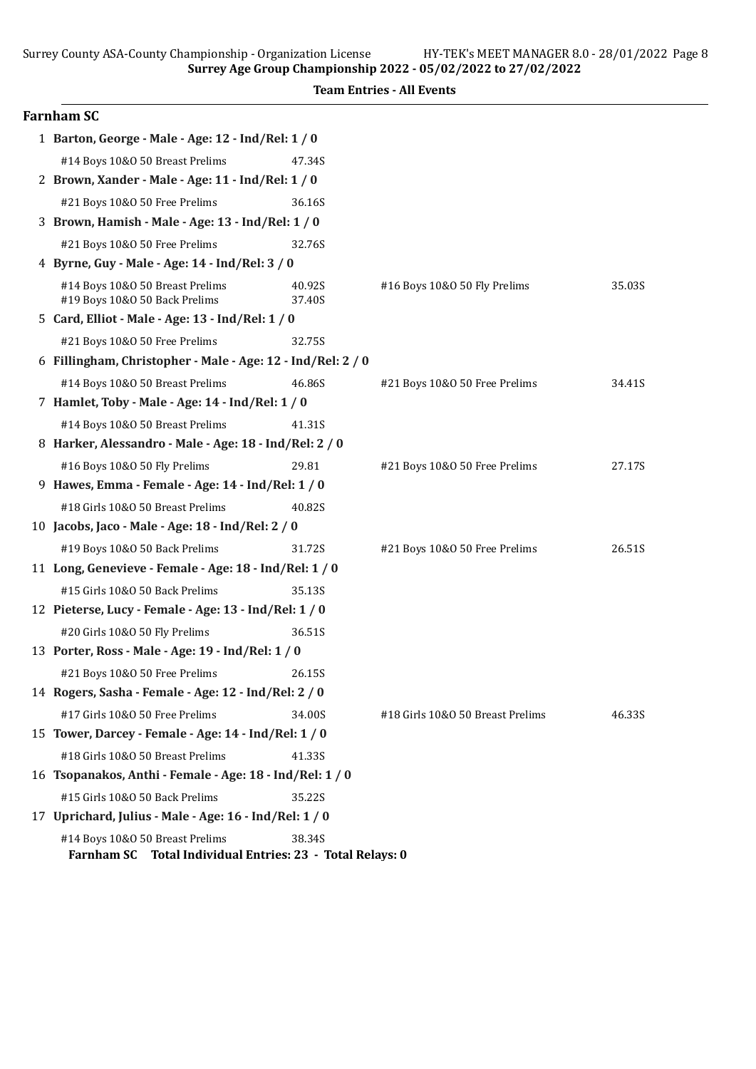|  | <b>Team Entries - All Events</b> |  |  |
|--|----------------------------------|--|--|
|--|----------------------------------|--|--|

| Farnham SC                                                                                             |                  |                                  |        |
|--------------------------------------------------------------------------------------------------------|------------------|----------------------------------|--------|
| 1 Barton, George - Male - Age: 12 - Ind/Rel: 1 / 0                                                     |                  |                                  |        |
| #14 Boys 10&0 50 Breast Prelims                                                                        | 47.34S           |                                  |        |
| 2 Brown, Xander - Male - Age: 11 - Ind/Rel: 1 / 0                                                      |                  |                                  |        |
| #21 Boys 10&0 50 Free Prelims                                                                          | 36.16S           |                                  |        |
| 3 Brown, Hamish - Male - Age: 13 - Ind/Rel: 1 / 0                                                      |                  |                                  |        |
| #21 Boys 10&0 50 Free Prelims                                                                          | 32.76S           |                                  |        |
| 4 Byrne, Guy - Male - Age: 14 - Ind/Rel: 3 / 0                                                         |                  |                                  |        |
| #14 Boys 10&0 50 Breast Prelims<br>#19 Boys 10&0 50 Back Prelims                                       | 40.92S<br>37.40S | #16 Boys 10&0 50 Fly Prelims     | 35.03S |
| 5 Card, Elliot - Male - Age: 13 - Ind/Rel: 1 / 0                                                       |                  |                                  |        |
| #21 Boys 10&0 50 Free Prelims                                                                          | 32.75S           |                                  |        |
| 6 Fillingham, Christopher - Male - Age: 12 - Ind/Rel: 2 / 0                                            |                  |                                  |        |
| #14 Boys 10&0 50 Breast Prelims                                                                        | 46.86S           | #21 Boys 10&0 50 Free Prelims    | 34.41S |
| 7 Hamlet, Toby - Male - Age: 14 - Ind/Rel: 1 / 0                                                       |                  |                                  |        |
| #14 Boys 10&0 50 Breast Prelims                                                                        | 41.31S           |                                  |        |
| 8 Harker, Alessandro - Male - Age: 18 - Ind/Rel: 2 / 0                                                 |                  |                                  |        |
| #16 Boys 10&0 50 Fly Prelims                                                                           | 29.81            | #21 Boys 10&0 50 Free Prelims    | 27.17S |
| 9 Hawes, Emma - Female - Age: 14 - Ind/Rel: 1 / 0                                                      |                  |                                  |        |
| #18 Girls 10&0 50 Breast Prelims                                                                       | 40.82S           |                                  |        |
| 10 Jacobs, Jaco - Male - Age: 18 - Ind/Rel: 2 / 0                                                      |                  |                                  |        |
| #19 Boys 10&O 50 Back Prelims                                                                          | 31.72S           | #21 Boys 10&0 50 Free Prelims    | 26.51S |
| 11 Long, Genevieve - Female - Age: 18 - Ind/Rel: 1 / 0                                                 |                  |                                  |        |
| #15 Girls 10&0 50 Back Prelims                                                                         | 35.13S           |                                  |        |
| 12 Pieterse, Lucy - Female - Age: 13 - Ind/Rel: 1 / 0                                                  |                  |                                  |        |
| #20 Girls 10&0 50 Fly Prelims                                                                          | 36.51S           |                                  |        |
| 13 Porter, Ross - Male - Age: 19 - Ind/Rel: 1 / 0                                                      |                  |                                  |        |
| #21 Boys 10&0 50 Free Prelims                                                                          | 26.15S           |                                  |        |
| 14 Rogers, Sasha - Female - Age: 12 - Ind/Rel: 2 / 0                                                   |                  |                                  |        |
| #17 Girls 10&0 50 Free Prelims                                                                         | 34.00S           | #18 Girls 10&0 50 Breast Prelims | 46.33S |
| 15 Tower, Darcey - Female - Age: 14 - Ind/Rel: 1 / 0                                                   |                  |                                  |        |
| #18 Girls 10&0 50 Breast Prelims                                                                       | 41.33S           |                                  |        |
| 16 Tsopanakos, Anthi - Female - Age: 18 - Ind/Rel: 1 / 0                                               |                  |                                  |        |
| #15 Girls 10&0 50 Back Prelims                                                                         | 35.22S           |                                  |        |
| 17 Uprichard, Julius - Male - Age: 16 - Ind/Rel: 1 / 0                                                 |                  |                                  |        |
| #14 Boys 10&0 50 Breast Prelims<br><b>Farnham SC</b><br>Total Individual Entries: 23 - Total Relays: 0 | 38.34S           |                                  |        |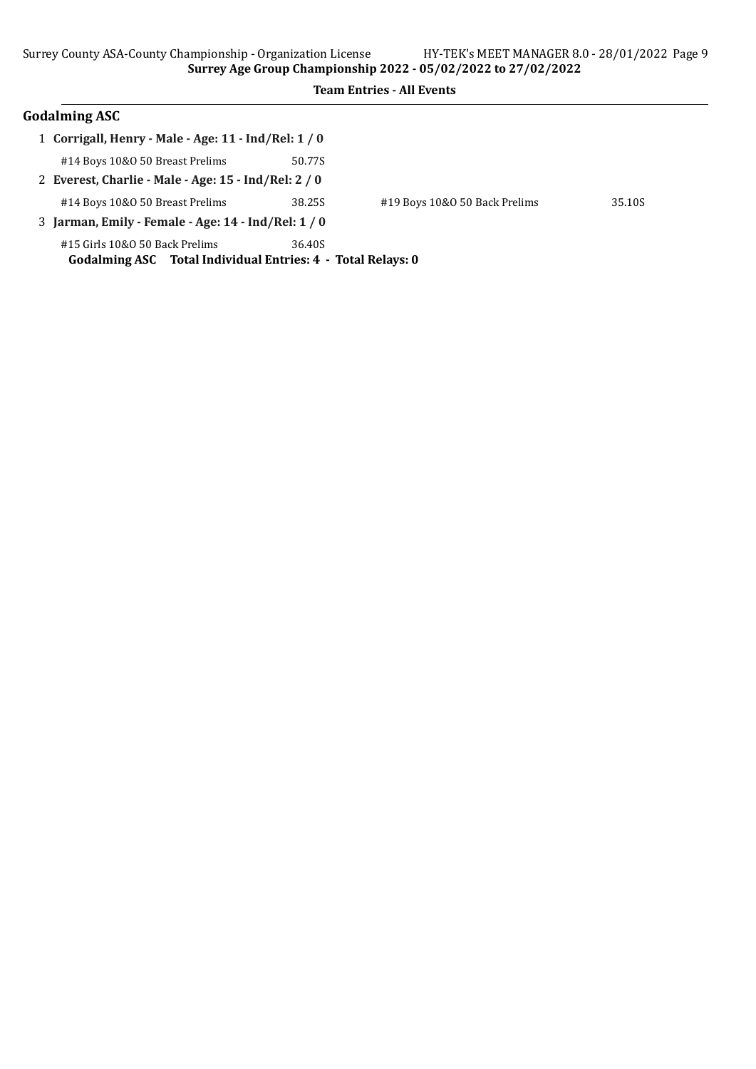| 1 Corrigall, Henry - Male - Age: 11 - Ind/Rel: 1 / 0                                          |        |                               |        |
|-----------------------------------------------------------------------------------------------|--------|-------------------------------|--------|
| #14 Boys 10&0 50 Breast Prelims                                                               | 50.77S |                               |        |
| 2 Everest, Charlie - Male - Age: 15 - Ind/Rel: 2 / 0                                          |        |                               |        |
| #14 Boys 10&0 50 Breast Prelims                                                               | 38.25S | #19 Boys 10&0 50 Back Prelims | 35.10S |
| 3 Jarman, Emily - Female - Age: 14 - Ind/Rel: 1 / 0                                           |        |                               |        |
| #15 Girls 10&0 50 Back Prelims<br>Godalming ASC Total Individual Entries: 4 - Total Relays: 0 | 36.40S |                               |        |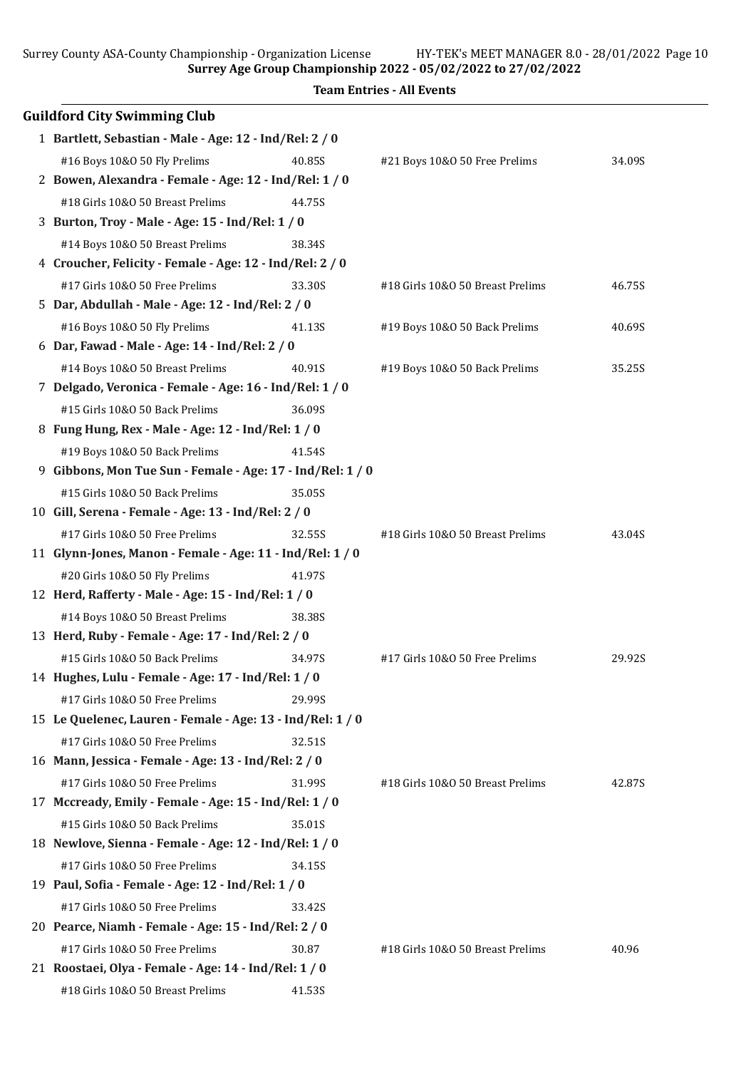Surrey Age Group Championship 2022 - 05/02/2022 to 27/02/2022

|    |                                                            | <b>Team Entries - All Events</b>         |        |
|----|------------------------------------------------------------|------------------------------------------|--------|
|    | <b>Guildford City Swimming Club</b>                        |                                          |        |
|    | 1 Bartlett, Sebastian - Male - Age: 12 - Ind/Rel: 2 / 0    |                                          |        |
|    | #16 Boys 10&0 50 Fly Prelims<br>40.85S                     | #21 Boys 10&0 50 Free Prelims            | 34.09S |
|    | 2 Bowen, Alexandra - Female - Age: 12 - Ind/Rel: 1 / 0     |                                          |        |
|    | #18 Girls 10&0 50 Breast Prelims<br>44.75S                 |                                          |        |
|    | 3 Burton, Troy - Male - Age: 15 - Ind/Rel: 1 / 0           |                                          |        |
|    | #14 Boys 10&0 50 Breast Prelims<br>38.34S                  |                                          |        |
|    | 4 Croucher, Felicity - Female - Age: 12 - Ind/Rel: 2 / 0   |                                          |        |
|    | #17 Girls 10&0 50 Free Prelims<br>33.30S                   | #18 Girls 10&0 50 Breast Prelims         | 46.75S |
|    | 5 Dar, Abdullah - Male - Age: 12 - Ind/Rel: 2 / 0          |                                          |        |
|    | #16 Boys 10&0 50 Fly Prelims<br>41.13S                     | #19 Boys 10&0 50 Back Prelims            | 40.69S |
|    | 6 Dar, Fawad - Male - Age: 14 - Ind/Rel: 2 / 0             |                                          |        |
|    | #14 Boys 10&0 50 Breast Prelims<br>40.91S                  | #19 Boys 10&0 50 Back Prelims            | 35.25S |
|    | 7 Delgado, Veronica - Female - Age: 16 - Ind/Rel: 1 / 0    |                                          |        |
|    | #15 Girls 10&0 50 Back Prelims<br>36.09S                   |                                          |        |
|    | 8 Fung Hung, Rex - Male - Age: 12 - Ind/Rel: 1 / 0         |                                          |        |
|    | #19 Boys 10&0 50 Back Prelims<br>41.54S                    |                                          |        |
| 9. | Gibbons, Mon Tue Sun - Female - Age: 17 - Ind/Rel: 1 / 0   |                                          |        |
|    | #15 Girls 10&0 50 Back Prelims<br>35.05S                   |                                          |        |
|    | 10 Gill, Serena - Female - Age: 13 - Ind/Rel: 2 / 0        |                                          |        |
|    | #17 Girls 10&0 50 Free Prelims<br>32.55S                   | #18 Girls 10&0 50 Breast Prelims         | 43.04S |
|    | 11 Glynn-Jones, Manon - Female - Age: 11 - Ind/Rel: 1 / 0  |                                          |        |
|    | #20 Girls 10&O 50 Fly Prelims<br>41.97S                    |                                          |        |
|    | 12 Herd, Rafferty - Male - Age: 15 - Ind/Rel: 1 / 0        |                                          |        |
|    | #14 Boys 10&0 50 Breast Prelims<br>38.38S                  |                                          |        |
|    | 13 Herd, Ruby - Female - Age: 17 - Ind/Rel: 2 / 0          |                                          |        |
|    | #15 Girls 10&0 50 Back Prelims                             | 34.97S<br>#17 Girls 10&0 50 Free Prelims | 29.92S |
|    | 14 Hughes, Lulu - Female - Age: 17 - Ind/Rel: 1 / 0        |                                          |        |
|    | #17 Girls 10&0 50 Free Prelims<br>29.99S                   |                                          |        |
|    | 15 Le Quelenec, Lauren - Female - Age: 13 - Ind/Rel: 1 / 0 |                                          |        |
|    | #17 Girls 10&0 50 Free Prelims<br>32.51S                   |                                          |        |
|    | 16 Mann, Jessica - Female - Age: 13 - Ind/Rel: 2 / 0       |                                          |        |
|    | #17 Girls 10&0 50 Free Prelims<br>31.99S                   | #18 Girls 10&0 50 Breast Prelims         | 42.87S |
|    | 17 Mccready, Emily - Female - Age: 15 - Ind/Rel: 1 / 0     |                                          |        |
|    | #15 Girls 10&0 50 Back Prelims                             | 35.01S                                   |        |
|    | 18 Newlove, Sienna - Female - Age: 12 - Ind/Rel: 1 / 0     |                                          |        |
|    | #17 Girls 10&0 50 Free Prelims<br>34.15S                   |                                          |        |
|    | 19 Paul, Sofia - Female - Age: 12 - Ind/Rel: 1 / 0         |                                          |        |
|    | #17 Girls 10&0 50 Free Prelims<br>33.42S                   |                                          |        |
|    | 20 Pearce, Niamh - Female - Age: 15 - Ind/Rel: 2 / 0       |                                          |        |
|    | #17 Girls 10&0 50 Free Prelims<br>30.87                    | #18 Girls 10&0 50 Breast Prelims         | 40.96  |
|    | 21 Roostaei, Olya - Female - Age: 14 - Ind/Rel: 1 / 0      |                                          |        |
|    | #18 Girls 10&0 50 Breast Prelims<br>41.53S                 |                                          |        |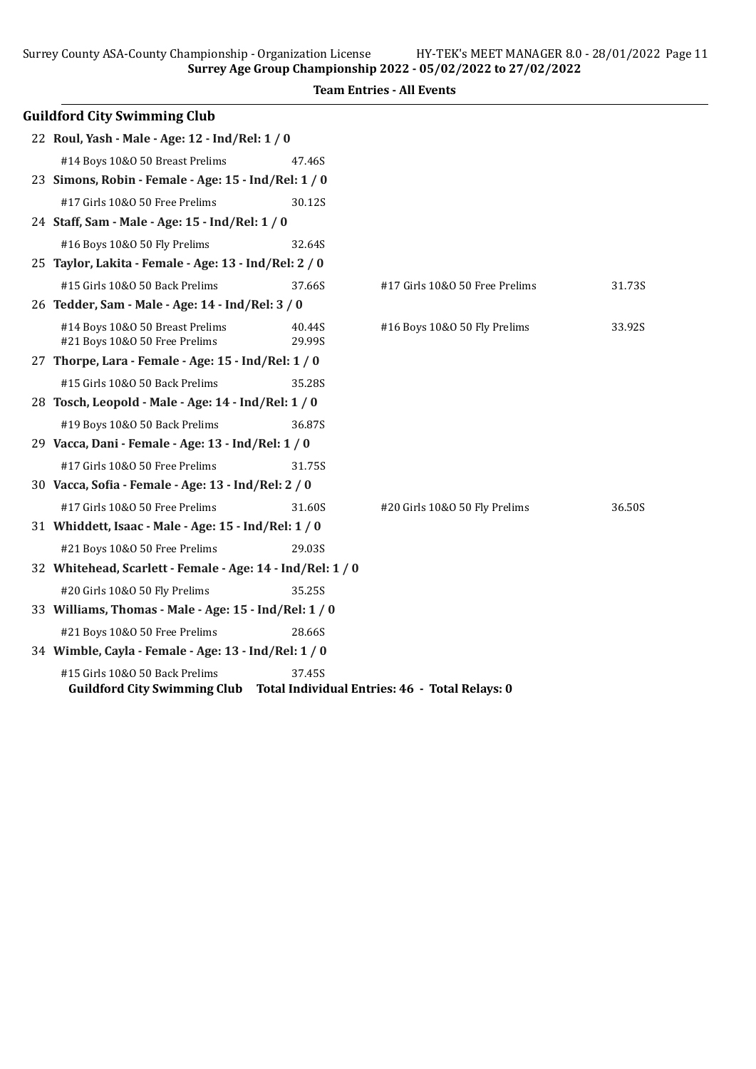|                                                       |        | barry county non-county championship organization diction $\cdots$ in Trins Film Fundance actor (20)<br>Surrey Age Group Championship 2022 - 05/02/2022 to 27/02/2022 |        |
|-------------------------------------------------------|--------|-----------------------------------------------------------------------------------------------------------------------------------------------------------------------|--------|
|                                                       |        | <b>Team Entries - All Events</b>                                                                                                                                      |        |
| <b>Guildford City Swimming Club</b>                   |        |                                                                                                                                                                       |        |
| 22 Roul, Yash - Male - Age: 12 - Ind/Rel: 1 / 0       |        |                                                                                                                                                                       |        |
| #14 Boys 10&0 50 Breast Prelims                       | 47.46S |                                                                                                                                                                       |        |
| 23 Simons, Robin - Female - Age: 15 - Ind/Rel: 1 / 0  |        |                                                                                                                                                                       |        |
| #17 Girls 10&0 50 Free Prelims                        | 30.12S |                                                                                                                                                                       |        |
| 24 Staff, Sam - Male - Age: 15 - Ind/Rel: 1 / 0       |        |                                                                                                                                                                       |        |
| #16 Boys 10&0 50 Fly Prelims                          | 32.64S |                                                                                                                                                                       |        |
| 25 Taylor, Lakita - Female - Age: 13 - Ind/Rel: 2 / 0 |        |                                                                                                                                                                       |        |
| #15 Girls 10&0 50 Back Prelims                        | 37.66S | #17 Girls 10&0 50 Free Prelims                                                                                                                                        | 31.73S |
| 26 Tedder, Sam - Male - Age: 14 - Ind/Rel: 3 / 0      |        |                                                                                                                                                                       |        |
| #14 Boys 10&0 50 Breast Prelims                       | 40.44S | #16 Boys 10&0 50 Fly Prelims                                                                                                                                          | 33.92S |
| #21 Boys 10&0 50 Free Prelims                         | 29.99S |                                                                                                                                                                       |        |
| 27 Thorpe, Lara - Female - Age: $15$ - Ind/Rel: $1/0$ |        |                                                                                                                                                                       |        |
| #15 Girls 10&0 50 Back Prelims                        | 35.28S |                                                                                                                                                                       |        |
| 28 Tosch, Leopold - Male - Age: 14 - Ind/Rel: 1 / 0   |        |                                                                                                                                                                       |        |
| #19 Boys 10&0 50 Back Prelims                         | 36.87S |                                                                                                                                                                       |        |

#17 Girls 10&O 50 Free Prelims 31.60S #20 Girls 10&O 50 Fly Prelims 36.50S

| 32 Whitehead, Scarlett - Female - Age: 14 - Ind/Rel: 1 / 0 |        |  |
|------------------------------------------------------------|--------|--|
| #20 Girls 10&0 50 Fly Prelims                              | 35.25S |  |
| 33 Williams, Thomas - Male - Age: $15$ - Ind/Rel: $1/0$    |        |  |
| #21 Boys 10&0 50 Free Prelims                              | 28.66S |  |
| 34 Wimble, Cayla - Female - Age: 13 - Ind/Rel: 1 / 0       |        |  |
| #15 Girls 10&0 50 Back Prelims                             | 37.45S |  |

29 Vacca, Dani - Female - Age: 13 - Ind/Rel: 1 / 0

30 Vacca, Sofia - Female - Age: 13 - Ind/Rel: 2 / 0

31 Whiddett, Isaac - Male - Age: 15 - Ind/Rel: 1 / 0

#17 Girls 10&O 50 Free Prelims 31.75S

#21 Boys 10&O 50 Free Prelims 29.03S

## Guildford City Swimming Club Total Individual Entries: 46 - Total Relays: 0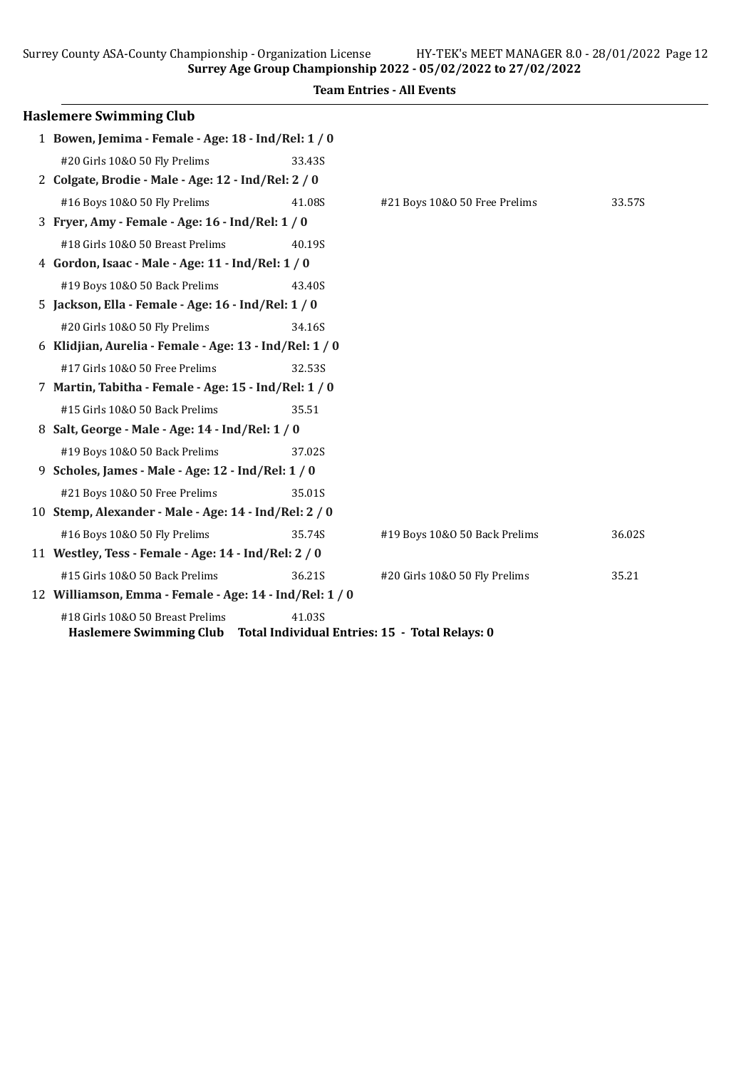Surrey County ASA-County Championship - Organization License HY-TEK's MEET MANAGER 8.0 - 28/01/2022 Page 12 Surrey Age Group Championship 2022 - 05/02/2022 to 27/02/2022

Haslemere Swimming Club 1 Bowen, Jemima - Female - Age: 18 - Ind/Rel: 1 / 0 #20 Girls 10&O 50 Fly Prelims 33.43S 2 Colgate, Brodie - Male - Age: 12 - Ind/Rel: 2 / 0 #16 Boys 10&O 50 Fly Prelims 41.08S #21 Boys 10&O 50 Free Prelims 33.57S 3 Fryer, Amy - Female - Age: 16 - Ind/Rel: 1 / 0 #18 Girls 10&O 50 Breast Prelims 40.19S 4 Gordon, Isaac - Male - Age: 11 - Ind/Rel: 1 / 0 #19 Boys 10&O 50 Back Prelims 43.40S 5 Jackson, Ella - Female - Age: 16 - Ind/Rel: 1 / 0 #20 Girls 10&O 50 Fly Prelims 34.16S 6 Klidjian, Aurelia - Female - Age: 13 - Ind/Rel: 1 / 0 #17 Girls 10&O 50 Free Prelims 32.53S 7 Martin, Tabitha - Female - Age: 15 - Ind/Rel: 1 / 0 #15 Girls 10&O 50 Back Prelims 35.51 8 Salt, George - Male - Age: 14 - Ind/Rel: 1 / 0 #19 Boys 10&O 50 Back Prelims 37.02S 9 Scholes, James - Male - Age: 12 - Ind/Rel: 1 / 0 #21 Boys 10&O 50 Free Prelims 35.01S 10 Stemp, Alexander - Male - Age: 14 - Ind/Rel: 2 / 0 #16 Boys 10&O 50 Fly Prelims 35.74S #19 Boys 10&O 50 Back Prelims 36.02S 11 Westley, Tess - Female - Age: 14 - Ind/Rel: 2 / 0 #15 Girls 10&O 50 Back Prelims 36.21S #20 Girls 10&O 50 Fly Prelims 35.21 12 Williamson, Emma - Female - Age: 14 - Ind/Rel: 1 / 0 #18 Girls 10&O 50 Breast Prelims 41.03S Haslemere Swimming Club Total Individual Entries: 15 - Total Relays: 0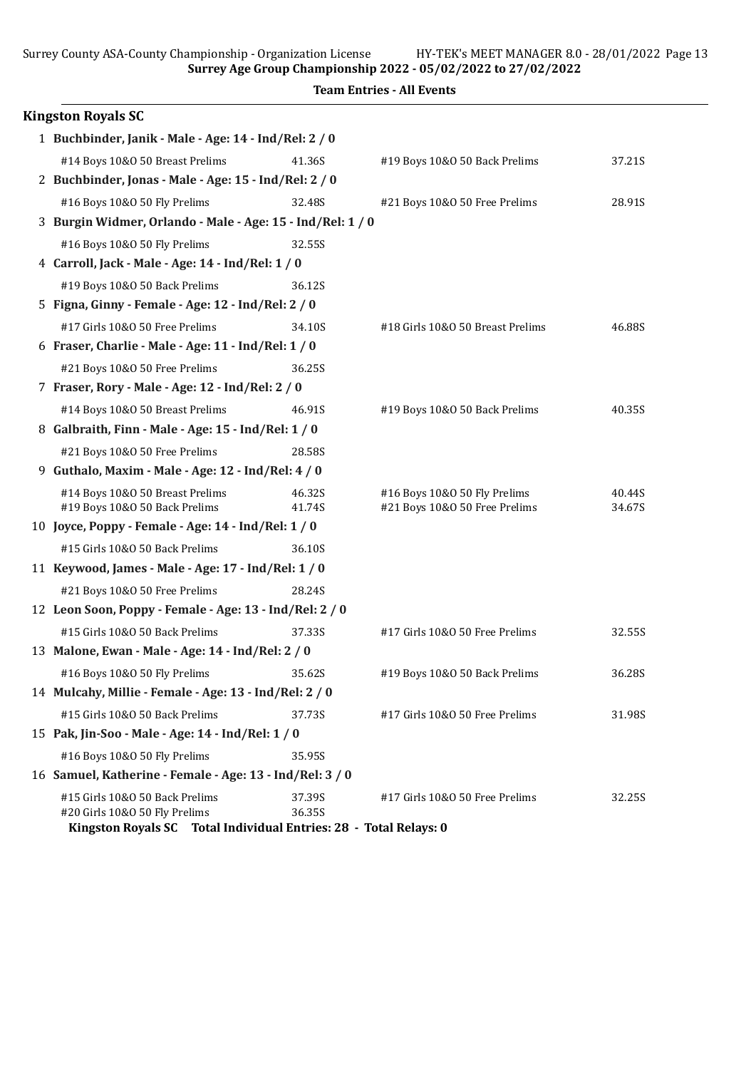Surrey Age Group Championship 2022 - 05/02/2022 to 27/02/2022

| <b>Kingston Royals SC</b>                                                                                                            |                  |                                                               |                  |
|--------------------------------------------------------------------------------------------------------------------------------------|------------------|---------------------------------------------------------------|------------------|
| 1 Buchbinder, Janik - Male - Age: 14 - Ind/Rel: 2 / 0                                                                                |                  |                                                               |                  |
| #14 Boys 10&0 50 Breast Prelims                                                                                                      | 41.36S           | #19 Boys 10&0 50 Back Prelims                                 | 37.21S           |
| 2 Buchbinder, Jonas - Male - Age: 15 - Ind/Rel: 2 / 0                                                                                |                  |                                                               |                  |
| #16 Boys 10&0 50 Fly Prelims                                                                                                         | 32.48S           | #21 Boys 10&0 50 Free Prelims                                 | 28.91S           |
| 3 Burgin Widmer, Orlando - Male - Age: 15 - Ind/Rel: 1 / 0                                                                           |                  |                                                               |                  |
| #16 Boys 10&0 50 Fly Prelims                                                                                                         | 32.55S           |                                                               |                  |
| 4 Carroll, Jack - Male - Age: 14 - Ind/Rel: 1 / 0                                                                                    |                  |                                                               |                  |
| #19 Boys 10&0 50 Back Prelims                                                                                                        | 36.12S           |                                                               |                  |
| 5 Figna, Ginny - Female - Age: 12 - Ind/Rel: 2 / 0                                                                                   |                  |                                                               |                  |
| #17 Girls 10&0 50 Free Prelims                                                                                                       | 34.10S           | #18 Girls 10&0 50 Breast Prelims                              | 46.88S           |
| 6 Fraser, Charlie - Male - Age: $11$ - Ind/Rel: $1/0$                                                                                |                  |                                                               |                  |
| #21 Boys 10&0 50 Free Prelims                                                                                                        | 36.25S           |                                                               |                  |
| 7 Fraser, Rory - Male - Age: 12 - Ind/Rel: 2 / 0                                                                                     |                  |                                                               |                  |
| #14 Boys 10&0 50 Breast Prelims                                                                                                      | 46.91S           | #19 Boys 10&0 50 Back Prelims                                 | 40.35S           |
| 8 Galbraith, Finn - Male - Age: 15 - Ind/Rel: 1 / 0                                                                                  |                  |                                                               |                  |
| #21 Boys 10&0 50 Free Prelims                                                                                                        | 28.58S           |                                                               |                  |
| 9 Guthalo, Maxim - Male - Age: 12 - Ind/Rel: 4 / 0                                                                                   |                  |                                                               |                  |
| #14 Boys 10&0 50 Breast Prelims<br>#19 Boys 10&0 50 Back Prelims                                                                     | 46.32S<br>41.74S | #16 Boys 10&0 50 Fly Prelims<br>#21 Boys 10&0 50 Free Prelims | 40.44S<br>34.67S |
| 10 Joyce, Poppy - Female - Age: 14 - Ind/Rel: 1 / 0                                                                                  |                  |                                                               |                  |
| #15 Girls 10&0 50 Back Prelims                                                                                                       | 36.10S           |                                                               |                  |
| 11 Keywood, James - Male - Age: 17 - Ind/Rel: 1 / 0                                                                                  |                  |                                                               |                  |
| #21 Boys 10&0 50 Free Prelims                                                                                                        | 28.24S           |                                                               |                  |
| 12 Leon Soon, Poppy - Female - Age: 13 - Ind/Rel: 2 / 0                                                                              |                  |                                                               |                  |
| #15 Girls 10&0 50 Back Prelims                                                                                                       | 37.33S           | #17 Girls 10&0 50 Free Prelims                                | 32.55S           |
| 13 Malone, Ewan - Male - Age: 14 - Ind/Rel: 2 / 0                                                                                    |                  |                                                               |                  |
| #16 Boys 10&0 50 Fly Prelims                                                                                                         | 35.62S           | #19 Boys 10&0 50 Back Prelims                                 | 36.28S           |
| 14 Mulcahy, Millie - Female - Age: 13 - Ind/Rel: 2 / 0                                                                               |                  |                                                               |                  |
| #15 Girls 10&0 50 Back Prelims                                                                                                       | 37.73S           | #17 Girls 10&0 50 Free Prelims                                | 31.98S           |
| 15 Pak, Jin-Soo - Male - Age: 14 - Ind/Rel: 1 / 0                                                                                    |                  |                                                               |                  |
| #16 Boys 10&0 50 Fly Prelims                                                                                                         | 35.95S           |                                                               |                  |
| 16 Samuel, Katherine - Female - Age: 13 - Ind/Rel: 3 / 0                                                                             |                  |                                                               |                  |
| #15 Girls 10&0 50 Back Prelims<br>#20 Girls 10&O 50 Fly Prelims<br>Kingston Royals SC Total Individual Entries: 28 - Total Relays: 0 | 37.39S<br>36.35S | #17 Girls 10&0 50 Free Prelims                                | 32.25S           |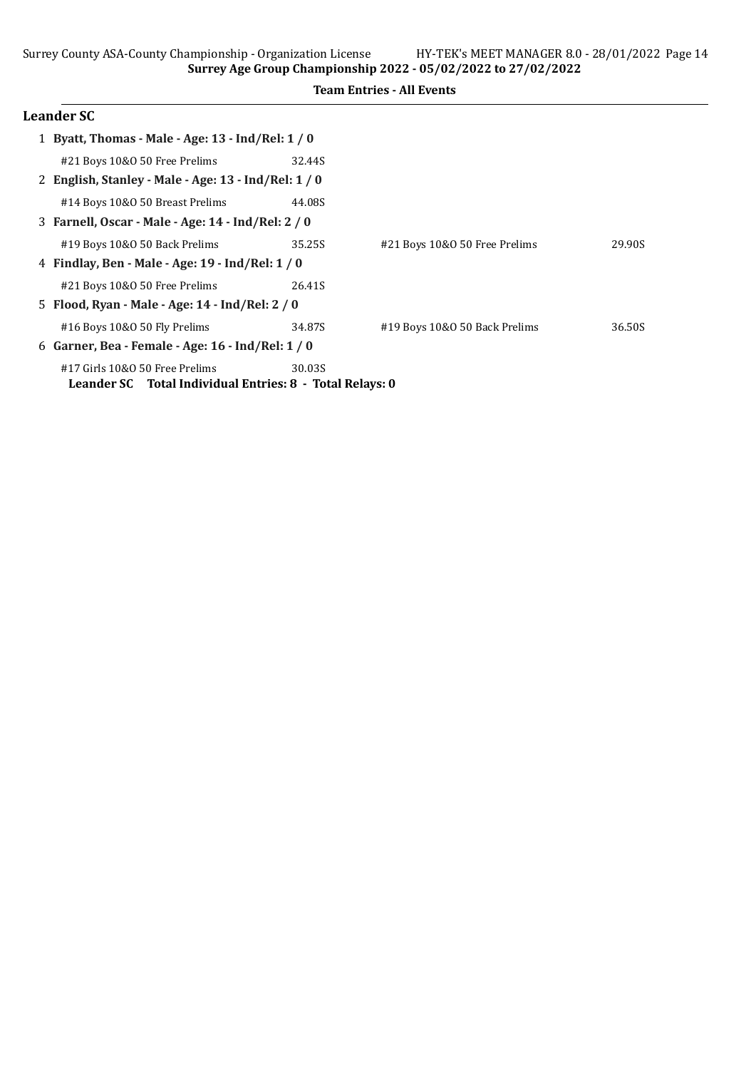Surrey Age Group Championship 2022 - 05/02/2022 to 27/02/2022

### Team Entries - All Events

# Leander SC

| 1 Byatt, Thomas - Male - Age: 13 - Ind/Rel: 1 / 0        |        |                               |        |
|----------------------------------------------------------|--------|-------------------------------|--------|
| #21 Boys 10&0 50 Free Prelims                            | 32.44S |                               |        |
| 2 English, Stanley - Male - Age: 13 - Ind/Rel: 1 / 0     |        |                               |        |
| #14 Boys 10&0 50 Breast Prelims                          | 44.08S |                               |        |
| 3 Farnell, Oscar - Male - Age: 14 - Ind/Rel: 2 / 0       |        |                               |        |
| #19 Boys 10&0 50 Back Prelims                            | 35.25S | #21 Boys 10&0 50 Free Prelims | 29.90S |
| 4 Findlay, Ben - Male - Age: 19 - Ind/Rel: 1 / 0         |        |                               |        |
| #21 Boys 10&0 50 Free Prelims                            | 26.41S |                               |        |
| 5 Flood, Ryan - Male - Age: 14 - Ind/Rel: 2 / 0          |        |                               |        |
| #16 Boys 10&0 50 Fly Prelims                             | 34.87S | #19 Boys 10&0 50 Back Prelims | 36.50S |
| 6 Garner, Bea - Female - Age: $16$ - Ind/Rel: $1/0$      |        |                               |        |
| #17 Girls 10&0 50 Free Prelims                           | 30.03S |                               |        |
| Leander SC Total Individual Entries: 8 - Total Relays: 0 |        |                               |        |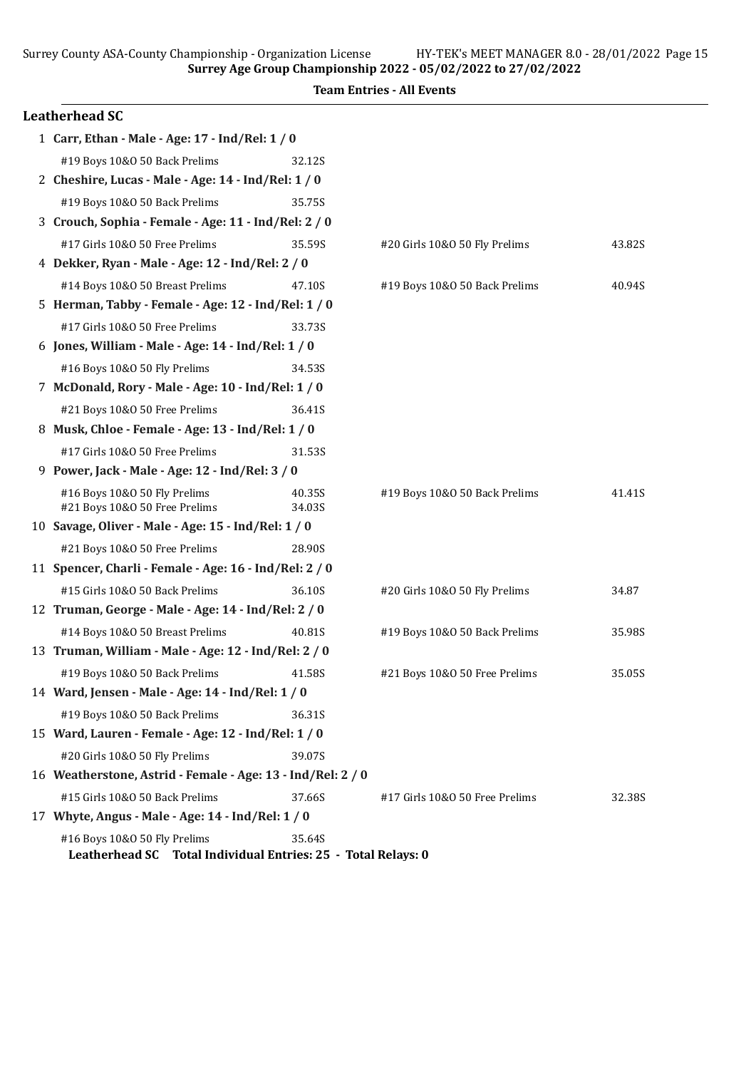Surrey Age Group Championship 2022 - 05/02/2022 to 27/02/2022 Team Entries - All Events

| <b>Leatherhead SC</b>                                                                         |                  |                                |        |
|-----------------------------------------------------------------------------------------------|------------------|--------------------------------|--------|
| 1 Carr, Ethan - Male - Age: 17 - Ind/Rel: 1 / 0                                               |                  |                                |        |
| #19 Boys 10&0 50 Back Prelims                                                                 | 32.12S           |                                |        |
| 2 Cheshire, Lucas - Male - Age: 14 - Ind/Rel: 1 / 0                                           |                  |                                |        |
| #19 Boys 10&0 50 Back Prelims                                                                 | 35.75S           |                                |        |
| 3 Crouch, Sophia - Female - Age: 11 - Ind/Rel: 2 / 0                                          |                  |                                |        |
| #17 Girls 10&0 50 Free Prelims                                                                | 35.59S           | #20 Girls 10&O 50 Fly Prelims  | 43.82S |
| 4 Dekker, Ryan - Male - Age: 12 - Ind/Rel: 2 / 0                                              |                  |                                |        |
| #14 Boys 10&0 50 Breast Prelims                                                               | 47.10S           | #19 Boys 10&0 50 Back Prelims  | 40.94S |
| 5 Herman, Tabby - Female - Age: 12 - Ind/Rel: 1 / 0                                           |                  |                                |        |
| #17 Girls 10&0 50 Free Prelims                                                                | 33.73S           |                                |        |
| 6 Jones, William - Male - Age: 14 - Ind/Rel: 1 / 0                                            |                  |                                |        |
| #16 Boys 10&0 50 Fly Prelims                                                                  | 34.53S           |                                |        |
| 7 McDonald, Rory - Male - Age: 10 - Ind/Rel: 1 / 0                                            |                  |                                |        |
| #21 Boys 10&0 50 Free Prelims                                                                 | 36.41S           |                                |        |
| 8 Musk, Chloe - Female - Age: 13 - Ind/Rel: 1 / 0                                             |                  |                                |        |
| #17 Girls 10&0 50 Free Prelims                                                                | 31.53S           |                                |        |
| 9 Power, Jack - Male - Age: 12 - Ind/Rel: 3 / 0                                               |                  |                                |        |
| #16 Boys 10&0 50 Fly Prelims<br>#21 Boys 10&0 50 Free Prelims                                 | 40.35S<br>34.03S | #19 Boys 10&0 50 Back Prelims  | 41.41S |
| 10 Savage, Oliver - Male - Age: 15 - Ind/Rel: 1 / 0                                           |                  |                                |        |
| #21 Boys 10&0 50 Free Prelims                                                                 | 28.90S           |                                |        |
| 11 Spencer, Charli - Female - Age: 16 - Ind/Rel: 2 / 0                                        |                  |                                |        |
| #15 Girls 10&0 50 Back Prelims                                                                | 36.10S           | #20 Girls 10&O 50 Fly Prelims  | 34.87  |
| 12 Truman, George - Male - Age: 14 - Ind/Rel: 2 / 0                                           |                  |                                |        |
| #14 Boys 10&0 50 Breast Prelims                                                               | 40.81S           | #19 Boys 10&0 50 Back Prelims  | 35.98S |
| 13 Truman, William - Male - Age: 12 - Ind/Rel: 2 / 0                                          |                  |                                |        |
| #19 Boys 10&0 50 Back Prelims                                                                 | 41.58S           | #21 Boys 10&0 50 Free Prelims  | 35.05S |
| 14 Ward, Jensen - Male - Age: 14 - Ind/Rel: 1 / 0                                             |                  |                                |        |
| #19 Boys 10&0 50 Back Prelims                                                                 | 36.31S           |                                |        |
| 15 Ward, Lauren - Female - Age: 12 - Ind/Rel: 1 / 0                                           |                  |                                |        |
| #20 Girls 10&0 50 Fly Prelims                                                                 | 39.07S           |                                |        |
| 16 Weatherstone, Astrid - Female - Age: 13 - Ind/Rel: 2 / 0                                   |                  |                                |        |
| #15 Girls 10&0 50 Back Prelims                                                                | 37.66S           | #17 Girls 10&0 50 Free Prelims | 32.38S |
| 17 Whyte, Angus - Male - Age: 14 - Ind/Rel: 1 / 0                                             |                  |                                |        |
| #16 Boys 10&0 50 Fly Prelims<br>Leatherhead SC Total Individual Entries: 25 - Total Relays: 0 | 35.64S           |                                |        |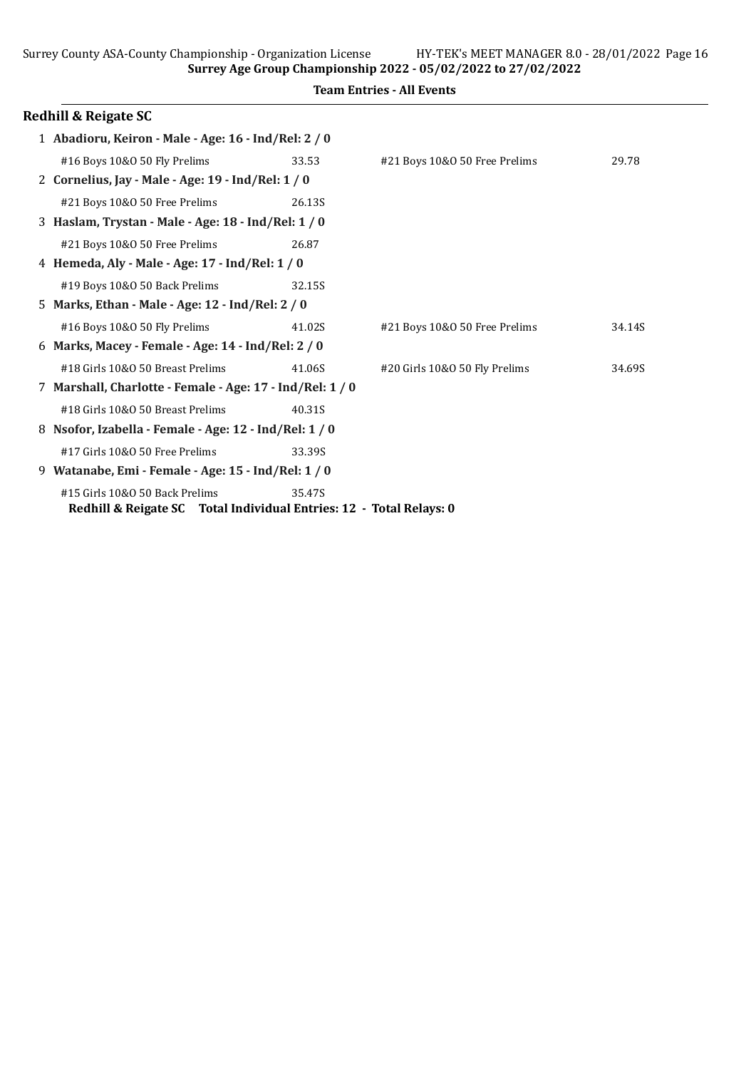Surrey Age Group Championship 2022 - 05/02/2022 to 27/02/2022

|  | <b>Team Entries - All Events</b> |  |  |
|--|----------------------------------|--|--|
|--|----------------------------------|--|--|

|    | Redhill & Reigate SC                                                                                  |        |                               |        |
|----|-------------------------------------------------------------------------------------------------------|--------|-------------------------------|--------|
|    | 1 Abadioru, Keiron - Male - Age: 16 - Ind/Rel: 2 / 0                                                  |        |                               |        |
|    | #16 Boys 10&0 50 Fly Prelims                                                                          | 33.53  | #21 Boys 10&0 50 Free Prelims | 29.78  |
|    | 2 Cornelius, Jay - Male - Age: 19 - Ind/Rel: 1 / 0                                                    |        |                               |        |
|    | #21 Boys 10&0 50 Free Prelims                                                                         | 26.13S |                               |        |
|    | 3 Haslam, Trystan - Male - Age: 18 - Ind/Rel: 1 / 0                                                   |        |                               |        |
|    | #21 Boys 10&0 50 Free Prelims                                                                         | 26.87  |                               |        |
|    | 4 Hemeda, Aly - Male - Age: 17 - Ind/Rel: 1 / 0                                                       |        |                               |        |
|    | #19 Boys 10&0 50 Back Prelims                                                                         | 32.15S |                               |        |
|    | 5 Marks, Ethan - Male - Age: 12 - Ind/Rel: 2 / 0                                                      |        |                               |        |
|    | #16 Boys 10&0 50 Fly Prelims                                                                          | 41.02S | #21 Boys 10&0 50 Free Prelims | 34.14S |
|    | 6 Marks, Macey - Female - Age: 14 - Ind/Rel: 2 / 0                                                    |        |                               |        |
|    | #18 Girls 10&0 50 Breast Prelims                                                                      | 41.06S | #20 Girls 10&0 50 Fly Prelims | 34.69S |
|    | 7 Marshall, Charlotte - Female - Age: 17 - Ind/Rel: 1 / 0                                             |        |                               |        |
|    | #18 Girls 10&0 50 Breast Prelims                                                                      | 40.31S |                               |        |
| 8. | Nsofor, Izabella - Female - Age: 12 - Ind/Rel: 1 / 0                                                  |        |                               |        |
|    | #17 Girls 10&0 50 Free Prelims                                                                        | 33.39S |                               |        |
| 9  | Watanabe, Emi - Female - Age: 15 - Ind/Rel: 1 / 0                                                     |        |                               |        |
|    | #15 Girls 10&0 50 Back Prelims<br>Redhill & Reigate SC Total Individual Entries: 12 - Total Relays: 0 | 35.47S |                               |        |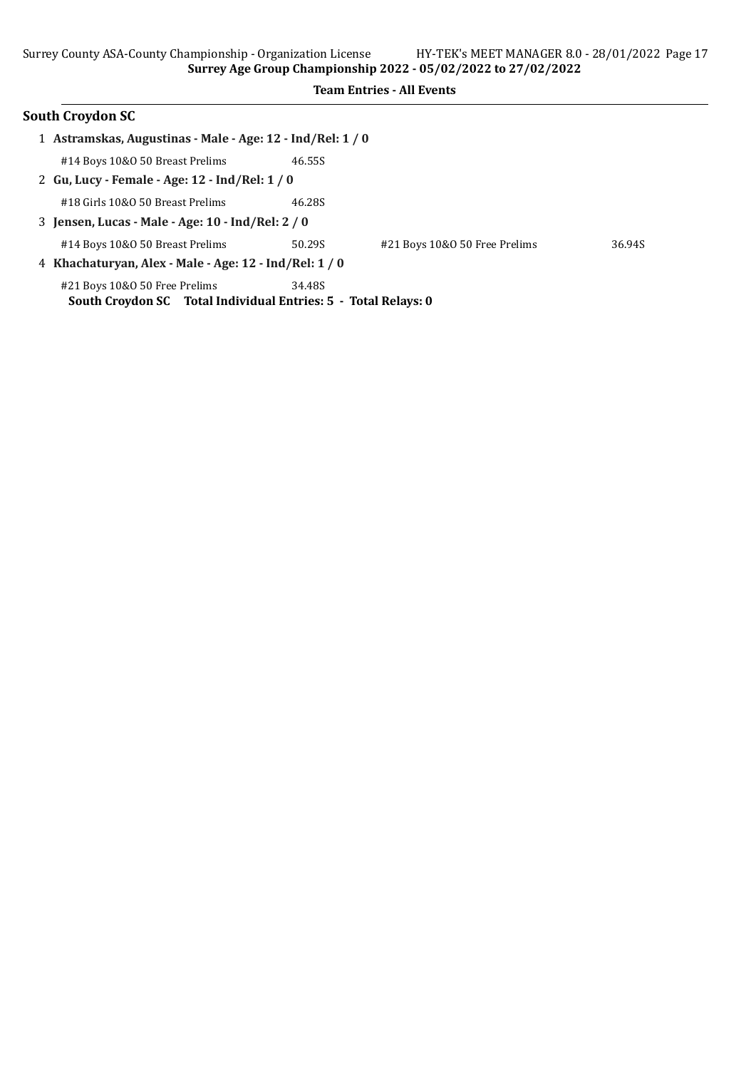|   | <b>South Croydon SC</b>                                                                         |        |                               |        |
|---|-------------------------------------------------------------------------------------------------|--------|-------------------------------|--------|
| 1 | Astramskas, Augustinas - Male - Age: 12 - Ind/Rel: 1 / 0                                        |        |                               |        |
|   | #14 Boys 10&0 50 Breast Prelims                                                                 | 46.55S |                               |        |
|   | 2 Gu, Lucy - Female - Age: 12 - Ind/Rel: 1 / 0                                                  |        |                               |        |
|   | #18 Girls 10&0 50 Breast Prelims                                                                | 46.28S |                               |        |
|   | 3 Jensen, Lucas - Male - Age: 10 - Ind/Rel: 2 / 0                                               |        |                               |        |
|   | #14 Boys 10&0 50 Breast Prelims                                                                 | 50.29S | #21 Boys 10&0 50 Free Prelims | 36.94S |
|   | 4 Khachaturyan, Alex - Male - Age: 12 - Ind/Rel: 1 / 0                                          |        |                               |        |
|   | #21 Boys 10&0 50 Free Prelims<br>South Croydon SC Total Individual Entries: 5 - Total Relays: 0 | 34.48S |                               |        |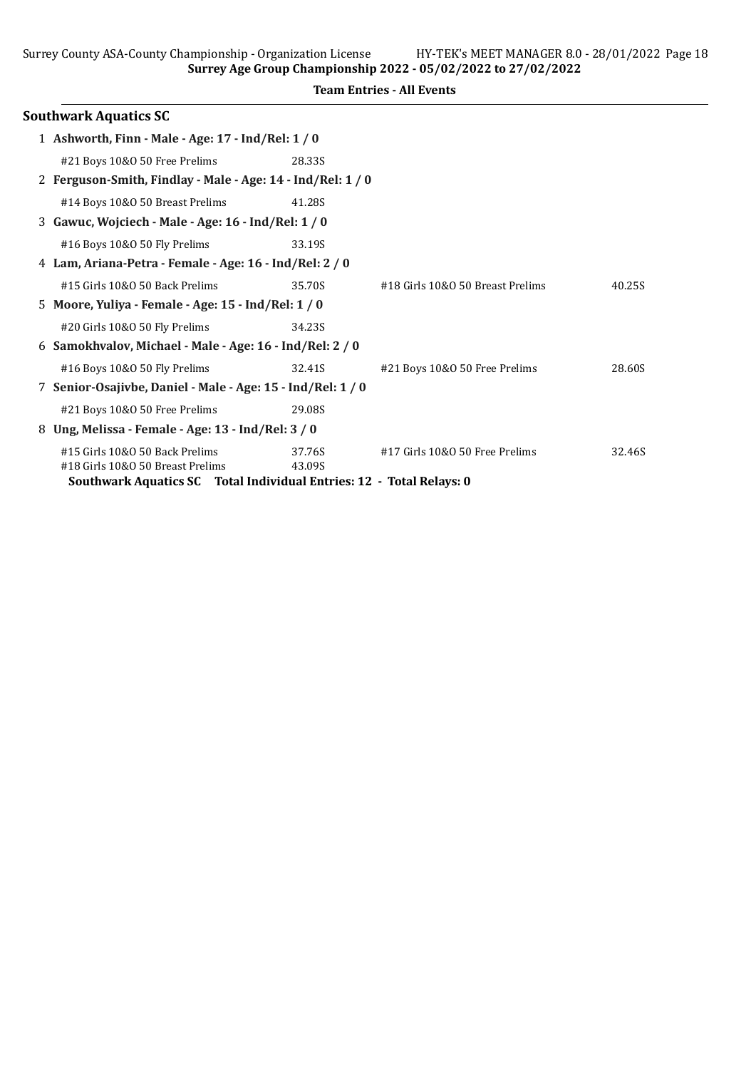| <b>Team Entries - All Events</b> |  |  |
|----------------------------------|--|--|

|   | <b>Southwark Aquatics SC</b>                                         |        |                                  |        |
|---|----------------------------------------------------------------------|--------|----------------------------------|--------|
|   | 1 Ashworth, Finn - Male - Age: 17 - Ind/Rel: 1 / 0                   |        |                                  |        |
|   | #21 Boys 10&0 50 Free Prelims                                        | 28.33S |                                  |        |
|   | 2 Ferguson-Smith, Findlay - Male - Age: 14 - Ind/Rel: 1 / 0          |        |                                  |        |
|   | #14 Boys 10&0 50 Breast Prelims                                      | 41.28S |                                  |        |
|   | 3 Gawuc, Wojciech - Male - Age: 16 - Ind/Rel: 1 / 0                  |        |                                  |        |
|   | #16 Boys 10&0 50 Fly Prelims                                         | 33.19S |                                  |        |
|   | 4 Lam, Ariana-Petra - Female - Age: 16 - Ind/Rel: 2 / 0              |        |                                  |        |
|   | #15 Girls 10&0 50 Back Prelims                                       | 35.70S | #18 Girls 10&0 50 Breast Prelims | 40.25S |
|   | 5 Moore, Yuliya - Female - Age: 15 - Ind/Rel: 1 / 0                  |        |                                  |        |
|   | #20 Girls 10&0 50 Fly Prelims                                        | 34.23S |                                  |        |
|   | 6 Samokhvalov, Michael - Male - Age: 16 - Ind/Rel: 2 / 0             |        |                                  |        |
|   | #16 Boys 10&0 50 Fly Prelims                                         | 32.41S | #21 Boys 10&0 50 Free Prelims    | 28.60S |
|   | 7 Senior-Osajivbe, Daniel - Male - Age: 15 - Ind/Rel: 1 / 0          |        |                                  |        |
|   | #21 Boys 10&0 50 Free Prelims                                        | 29.08S |                                  |        |
| 8 | Ung, Melissa - Female - Age: 13 - Ind/Rel: 3 / 0                     |        |                                  |        |
|   | #15 Girls 10&0 50 Back Prelims                                       | 37.76S | #17 Girls 10&0 50 Free Prelims   | 32.46S |
|   | #18 Girls 10&0 50 Breast Prelims                                     | 43.09S |                                  |        |
|   | Southwark Aquatics SC Total Individual Entries: 12 - Total Relays: 0 |        |                                  |        |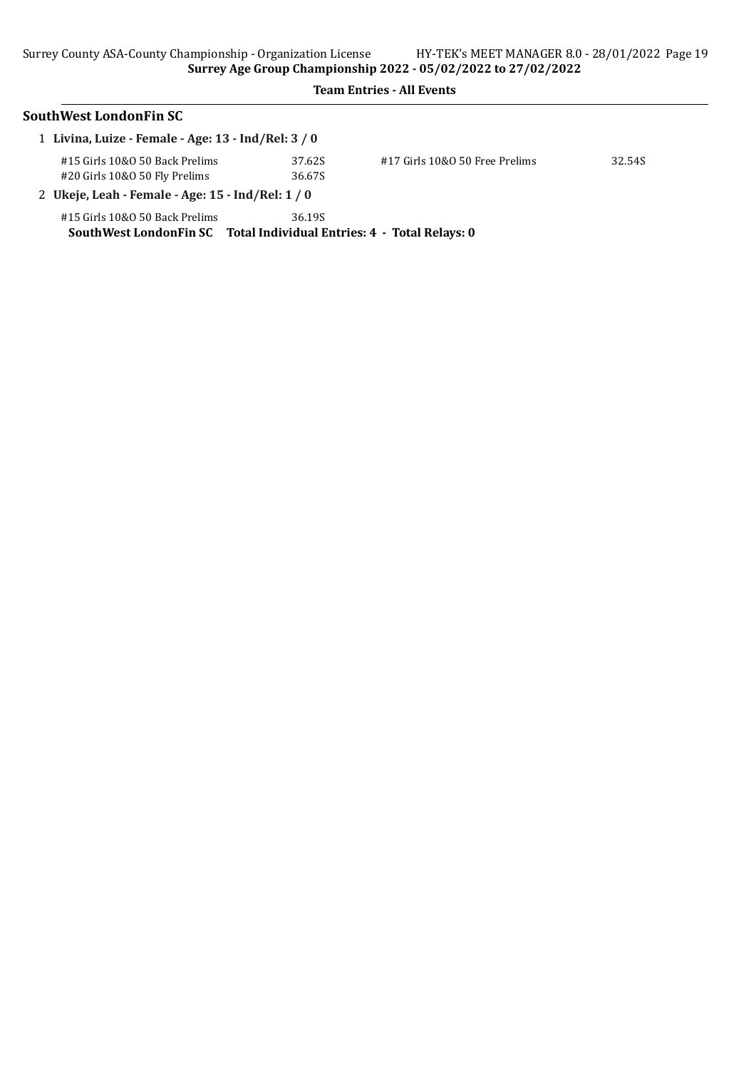| SouthWest LondonFin SC                                                                                 |                  |                                |        |
|--------------------------------------------------------------------------------------------------------|------------------|--------------------------------|--------|
| 1 Livina, Luize - Female - Age: 13 - Ind/Rel: 3 / 0                                                    |                  |                                |        |
| #15 Girls 10&0 50 Back Prelims<br>#20 Girls 10&0 50 Fly Prelims                                        | 37.62S<br>36.67S | #17 Girls 10&0 50 Free Prelims | 32.54S |
| 2 Ukeje, Leah - Female - Age: 15 - Ind/Rel: 1 / 0                                                      |                  |                                |        |
| #15 Girls 10&0 50 Back Prelims<br>SouthWest LondonFin SC Total Individual Entries: 4 - Total Relays: 0 | 36.19S           |                                |        |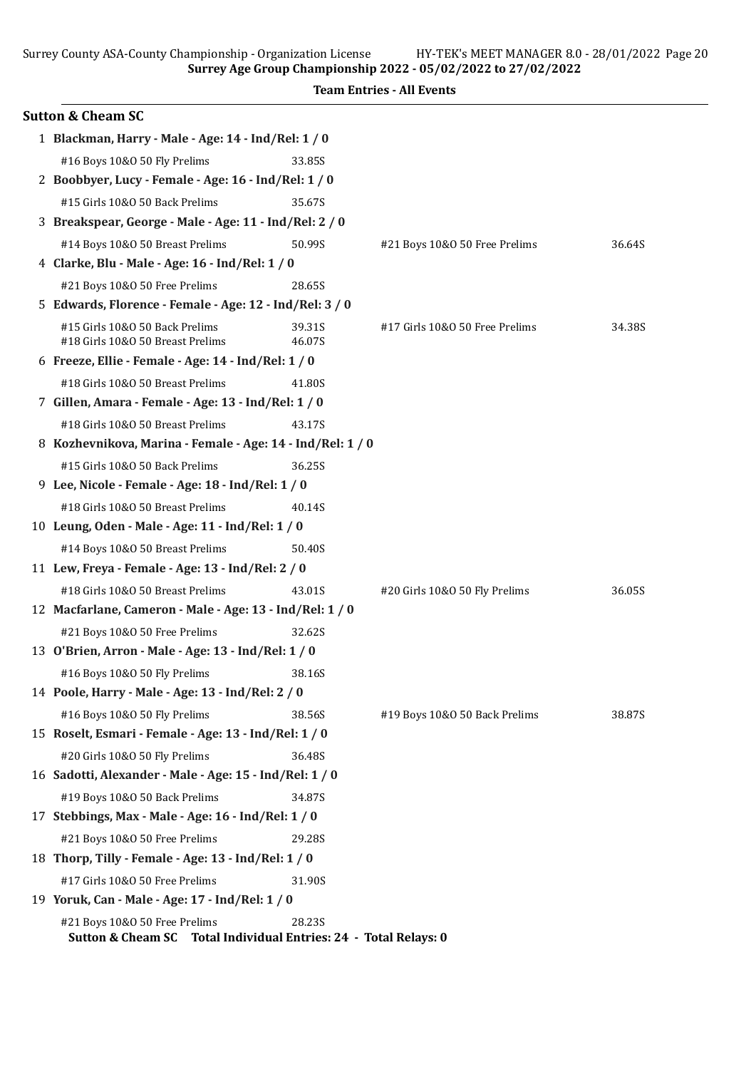| <b>Team Entries - All Events</b>                           |        |                                |        |  |
|------------------------------------------------------------|--------|--------------------------------|--------|--|
| <b>Sutton &amp; Cheam SC</b>                               |        |                                |        |  |
| 1 Blackman, Harry - Male - Age: 14 - Ind/Rel: 1 / 0        |        |                                |        |  |
| #16 Boys 10&0 50 Fly Prelims                               | 33.85S |                                |        |  |
| 2 Boobbyer, Lucy - Female - Age: 16 - Ind/Rel: 1 / 0       |        |                                |        |  |
| #15 Girls 10&0 50 Back Prelims                             | 35.67S |                                |        |  |
| 3 Breakspear, George - Male - Age: 11 - Ind/Rel: 2 / 0     |        |                                |        |  |
| #14 Boys 10&0 50 Breast Prelims                            | 50.99S | #21 Boys 10&0 50 Free Prelims  | 36.64S |  |
| 4 Clarke, Blu - Male - Age: 16 - Ind/Rel: 1 / 0            |        |                                |        |  |
| #21 Boys 10&0 50 Free Prelims                              | 28.65S |                                |        |  |
| 5 Edwards, Florence - Female - Age: 12 - Ind/Rel: 3 / 0    |        |                                |        |  |
| #15 Girls 10&0 50 Back Prelims                             | 39.31S | #17 Girls 10&0 50 Free Prelims | 34.38S |  |
| #18 Girls 10&0 50 Breast Prelims                           | 46.07S |                                |        |  |
| 6 Freeze, Ellie - Female - Age: 14 - Ind/Rel: 1 / 0        |        |                                |        |  |
| #18 Girls 10&0 50 Breast Prelims                           | 41.80S |                                |        |  |
| 7 Gillen, Amara - Female - Age: 13 - Ind/Rel: 1 / 0        |        |                                |        |  |
| #18 Girls 10&0 50 Breast Prelims                           | 43.17S |                                |        |  |
| 8 Kozhevnikova, Marina - Female - Age: 14 - Ind/Rel: 1 / 0 |        |                                |        |  |
| #15 Girls 10&0 50 Back Prelims                             | 36.25S |                                |        |  |
| 9 Lee, Nicole - Female - Age: 18 - Ind/Rel: 1 / 0          |        |                                |        |  |
| #18 Girls 10&0 50 Breast Prelims                           | 40.14S |                                |        |  |
| 10 Leung, Oden - Male - Age: 11 - Ind/Rel: 1 / 0           |        |                                |        |  |
| #14 Boys 10&0 50 Breast Prelims                            | 50.40S |                                |        |  |
| 11 Lew, Freya - Female - Age: 13 - Ind/Rel: 2 / 0          |        |                                |        |  |
| #18 Girls 10&0 50 Breast Prelims                           | 43.01S | #20 Girls 10&O 50 Fly Prelims  | 36.05S |  |
| 12 Macfarlane, Cameron - Male - Age: 13 - Ind/Rel: 1 / 0   |        |                                |        |  |
| #21 Boys 10&0 50 Free Prelims                              | 32.62S |                                |        |  |
| 13 O'Brien, Arron - Male - Age: 13 - Ind/Rel: 1 / 0        |        |                                |        |  |
| #16 Boys 10&0 50 Fly Prelims                               | 38.16S |                                |        |  |
| 14 Poole, Harry - Male - Age: 13 - Ind/Rel: 2 / 0          |        |                                |        |  |
| #16 Boys 10&0 50 Fly Prelims                               | 38.56S | #19 Boys 10&0 50 Back Prelims  | 38.87S |  |
| 15 Roselt, Esmari - Female - Age: 13 - Ind/Rel: 1 / 0      |        |                                |        |  |
| #20 Girls 10&O 50 Fly Prelims                              | 36.48S |                                |        |  |
| 16 Sadotti, Alexander - Male - Age: 15 - Ind/Rel: 1 / 0    |        |                                |        |  |
| #19 Boys 10&0 50 Back Prelims                              | 34.87S |                                |        |  |
| 17 Stebbings, Max - Male - Age: 16 - Ind/Rel: 1 / 0        |        |                                |        |  |
| #21 Boys 10&0 50 Free Prelims                              | 29.28S |                                |        |  |
| 18 Thorp, Tilly - Female - Age: 13 - Ind/Rel: 1 / 0        |        |                                |        |  |
| #17 Girls 10&O 50 Free Prelims                             | 31.90S |                                |        |  |

19 Yoruk, Can - Male - Age: 17 - Ind/Rel: 1 / 0

#21 Boys 10&O 50 Free Prelims 28.23S Sutton & Cheam SC Total Individual Entries: 24 - Total Relays: 0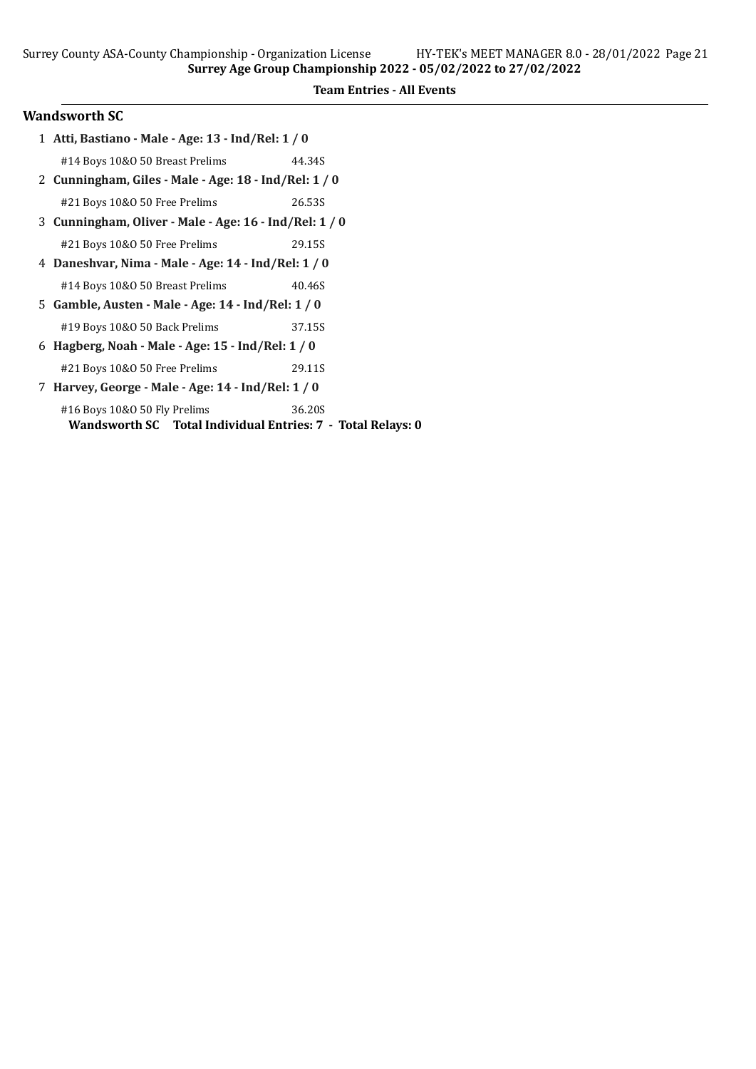Relays: 0

### Wandsworth SC

|                                                   | 1 Atti, Bastiano - Male - Age: 13 - Ind/Rel: 1 / 0     |        |  |  |
|---------------------------------------------------|--------------------------------------------------------|--------|--|--|
|                                                   | #14 Boys 10&0 50 Breast Prelims                        | 44.34S |  |  |
|                                                   | 2 Cunningham, Giles - Male - Age: 18 - Ind/Rel: 1 / 0  |        |  |  |
|                                                   | #21 Boys 10&0 50 Free Prelims                          | 26.53S |  |  |
|                                                   | 3 Cunningham, Oliver - Male - Age: 16 - Ind/Rel: 1 / 0 |        |  |  |
|                                                   | #21 Boys 10&0 50 Free Prelims                          | 29.15S |  |  |
|                                                   | 4 Daneshvar, Nima - Male - Age: 14 - Ind/Rel: 1 / 0    |        |  |  |
|                                                   | #14 Boys 10&0 50 Breast Prelims                        | 40.46S |  |  |
|                                                   | 5 Gamble, Austen - Male - Age: 14 - Ind/Rel: 1 / 0     |        |  |  |
|                                                   | #19 Boys 10&0 50 Back Prelims                          | 37.15S |  |  |
|                                                   | 6 Hagberg, Noah - Male - Age: 15 - Ind/Rel: 1 / 0      |        |  |  |
|                                                   | #21 Boys 10&0 50 Free Prelims                          | 29.11S |  |  |
| 7                                                 | Harvey, George - Male - Age: 14 - Ind/Rel: 1 / 0       |        |  |  |
|                                                   | #16 Boys 10&0 50 Fly Prelims                           | 36.20S |  |  |
| Wandsworth SC Total Individual Entries: 7 - Total |                                                        |        |  |  |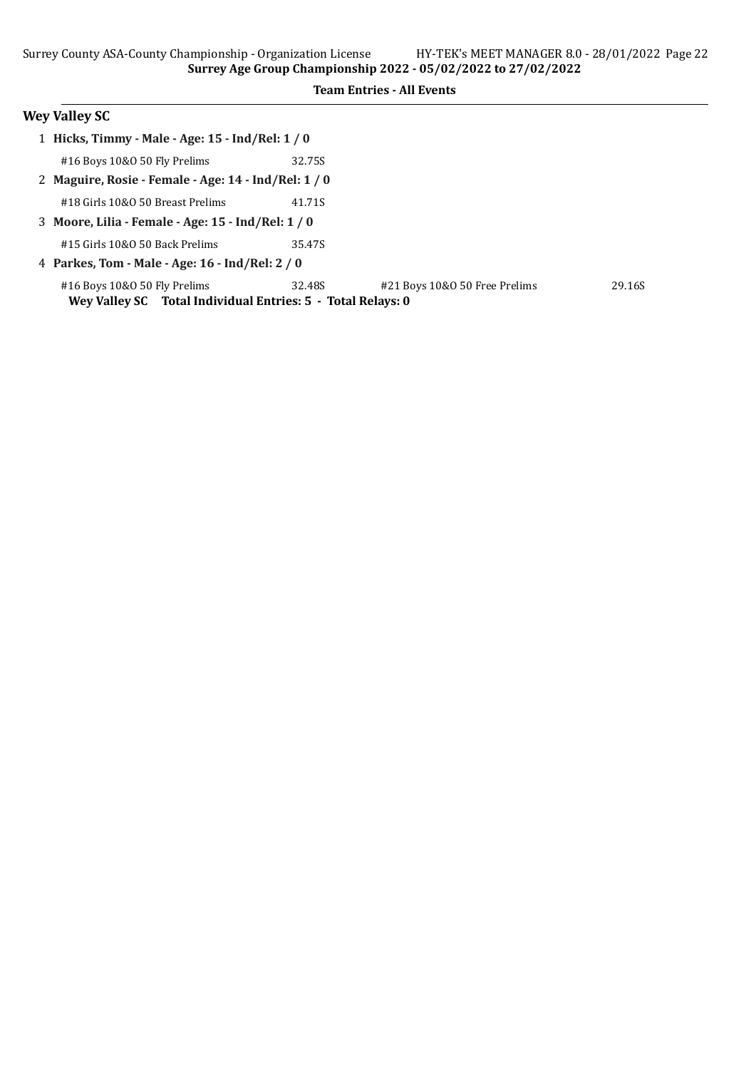# Wey Valley SC

| 1 Hicks, Timmy - Male - Age: 15 - Ind/Rel: 1 / 0            |        |                               |        |  |
|-------------------------------------------------------------|--------|-------------------------------|--------|--|
| #16 Boys 10&0 50 Fly Prelims                                | 32.75S |                               |        |  |
| 2 Maguire, Rosie - Female - Age: 14 - Ind/Rel: 1 / 0        |        |                               |        |  |
| #18 Girls 10&0 50 Breast Prelims                            | 41.71S |                               |        |  |
| 3 Moore, Lilia - Female - Age: 15 - Ind/Rel: 1 / 0          |        |                               |        |  |
| #15 Girls 10&0 50 Back Prelims                              | 35.47S |                               |        |  |
| 4 Parkes, Tom - Male - Age: 16 - Ind/Rel: 2 / 0             |        |                               |        |  |
| #16 Boys 10&0 50 Fly Prelims                                | 32.48S | #21 Boys 10&0 50 Free Prelims | 29.16S |  |
| Wey Valley SC Total Individual Entries: 5 - Total Relays: 0 |        |                               |        |  |